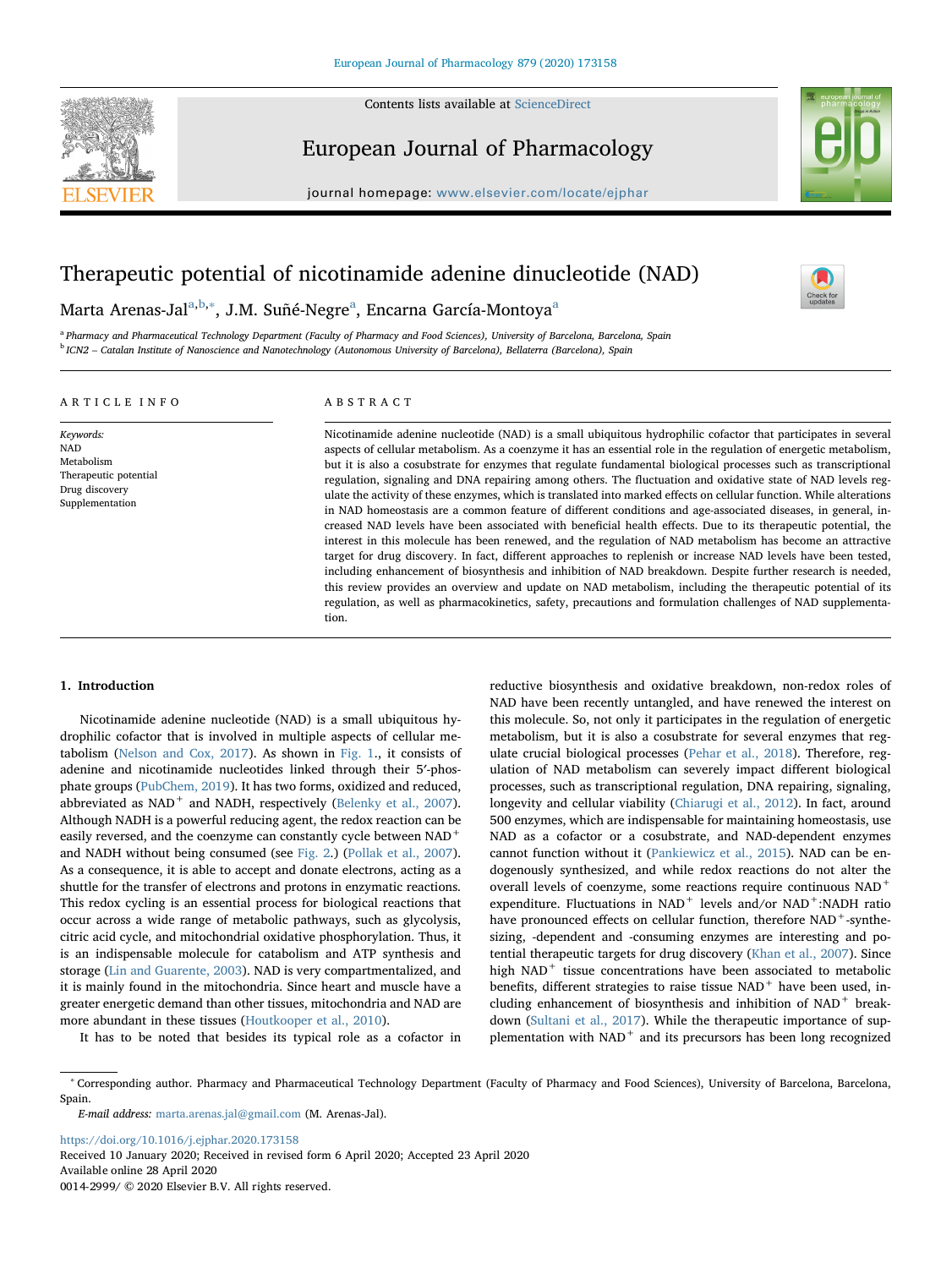

Contents lists available at [ScienceDirect](http://www.sciencedirect.com/science/journal/00142999)

# European Journal of Pharmacology

journal homepage: [www.elsevier.com/locate/ejphar](https://www.elsevier.com/locate/ejphar)



 $\frac{N}{2}$ 

# Therapeutic potential of nicotinamide adenine dinucleotide (NAD)

Marta Arenas-Jal<sup>[a,](#page-0-0)[b](#page-0-1),</sup>\*, J.M. Suñé-Negre<sup>[a](#page-0-0)</sup>, Encarna García-Montoya<sup>a</sup>

<span id="page-0-1"></span><span id="page-0-0"></span>a Pharmacy and Pharmaceutical Technology Department (Faculty of Pharmacy and Food Sciences), University of Barcelona, Barcelona, Spain <sup>b</sup> ICN2 – Catalan Institute of Nanoscience and Nanotechnology (Autonomous University of Barcelona), Bellaterra (Barcelona), Spain

# ARTICLE INFO

Keywords: NAD Metabolism Therapeutic potential Drug discovery Supplementation

ABSTRACT

Nicotinamide adenine nucleotide (NAD) is a small ubiquitous hydrophilic cofactor that participates in several aspects of cellular metabolism. As a coenzyme it has an essential role in the regulation of energetic metabolism, but it is also a cosubstrate for enzymes that regulate fundamental biological processes such as transcriptional regulation, signaling and DNA repairing among others. The fluctuation and oxidative state of NAD levels regulate the activity of these enzymes, which is translated into marked effects on cellular function. While alterations in NAD homeostasis are a common feature of different conditions and age-associated diseases, in general, increased NAD levels have been associated with beneficial health effects. Due to its therapeutic potential, the interest in this molecule has been renewed, and the regulation of NAD metabolism has become an attractive target for drug discovery. In fact, different approaches to replenish or increase NAD levels have been tested, including enhancement of biosynthesis and inhibition of NAD breakdown. Despite further research is needed, this review provides an overview and update on NAD metabolism, including the therapeutic potential of its regulation, as well as pharmacokinetics, safety, precautions and formulation challenges of NAD supplementation.

# 1. Introduction

Nicotinamide adenine nucleotide (NAD) is a small ubiquitous hydrophilic cofactor that is involved in multiple aspects of cellular metabolism [\(Nelson and Cox, 2017\)](#page-10-0). As shown in [Fig. 1](#page-1-0)., it consists of adenine and nicotinamide nucleotides linked through their 5′-phosphate groups ([PubChem, 2019\)](#page-10-1). It has two forms, oxidized and reduced, abbreviated as  $NAD^+$  and  $NADH$ , respectively ([Belenky et al., 2007](#page-8-0)). Although NADH is a powerful reducing agent, the redox reaction can be easily reversed, and the coenzyme can constantly cycle between NAD<sup>+</sup> and NADH without being consumed (see [Fig. 2.](#page-1-1)) ([Pollak et al., 2007](#page-10-2)). As a consequence, it is able to accept and donate electrons, acting as a shuttle for the transfer of electrons and protons in enzymatic reactions. This redox cycling is an essential process for biological reactions that occur across a wide range of metabolic pathways, such as glycolysis, citric acid cycle, and mitochondrial oxidative phosphorylation. Thus, it is an indispensable molecule for catabolism and ATP synthesis and storage [\(Lin and Guarente, 2003\)](#page-10-3). NAD is very compartmentalized, and it is mainly found in the mitochondria. Since heart and muscle have a greater energetic demand than other tissues, mitochondria and NAD are more abundant in these tissues ([Houtkooper et al., 2010\)](#page-9-0).

It has to be noted that besides its typical role as a cofactor in

reductive biosynthesis and oxidative breakdown, non-redox roles of NAD have been recently untangled, and have renewed the interest on this molecule. So, not only it participates in the regulation of energetic metabolism, but it is also a cosubstrate for several enzymes that regulate crucial biological processes [\(Pehar et al., 2018](#page-10-4)). Therefore, regulation of NAD metabolism can severely impact different biological processes, such as transcriptional regulation, DNA repairing, signaling, longevity and cellular viability [\(Chiarugi et al., 2012\)](#page-9-1). In fact, around 500 enzymes, which are indispensable for maintaining homeostasis, use NAD as a cofactor or a cosubstrate, and NAD-dependent enzymes cannot function without it ([Pankiewicz et al., 2015\)](#page-10-5). NAD can be endogenously synthesized, and while redox reactions do not alter the overall levels of coenzyme, some reactions require continuous NAD<sup>+</sup> expenditure. Fluctuations in  $NAD^+$  levels and/or  $NAD^+$ :NADH ratio have pronounced effects on cellular function, therefore  $NAD^+$ -synthesizing, -dependent and -consuming enzymes are interesting and potential therapeutic targets for drug discovery [\(Khan et al., 2007](#page-9-2)). Since high NAD<sup>+</sup> tissue concentrations have been associated to metabolic benefits, different strategies to raise tissue NAD<sup>+</sup> have been used, including enhancement of biosynthesis and inhibition of NAD<sup>+</sup> breakdown [\(Sultani et al., 2017](#page-11-0)). While the therapeutic importance of supplementation with NAD<sup>+</sup> and its precursors has been long recognized

<span id="page-0-2"></span><sup>∗</sup> Corresponding author. Pharmacy and Pharmaceutical Technology Department (Faculty of Pharmacy and Food Sciences), University of Barcelona, Barcelona, Spain.

E-mail address: [marta.arenas.jal@gmail.com](mailto:marta.arenas.jal@gmail.com) (M. Arenas-Jal).

<https://doi.org/10.1016/j.ejphar.2020.173158> Received 10 January 2020; Received in revised form 6 April 2020; Accepted 23 April 2020

Available online 28 April 2020 0014-2999/ © 2020 Elsevier B.V. All rights reserved.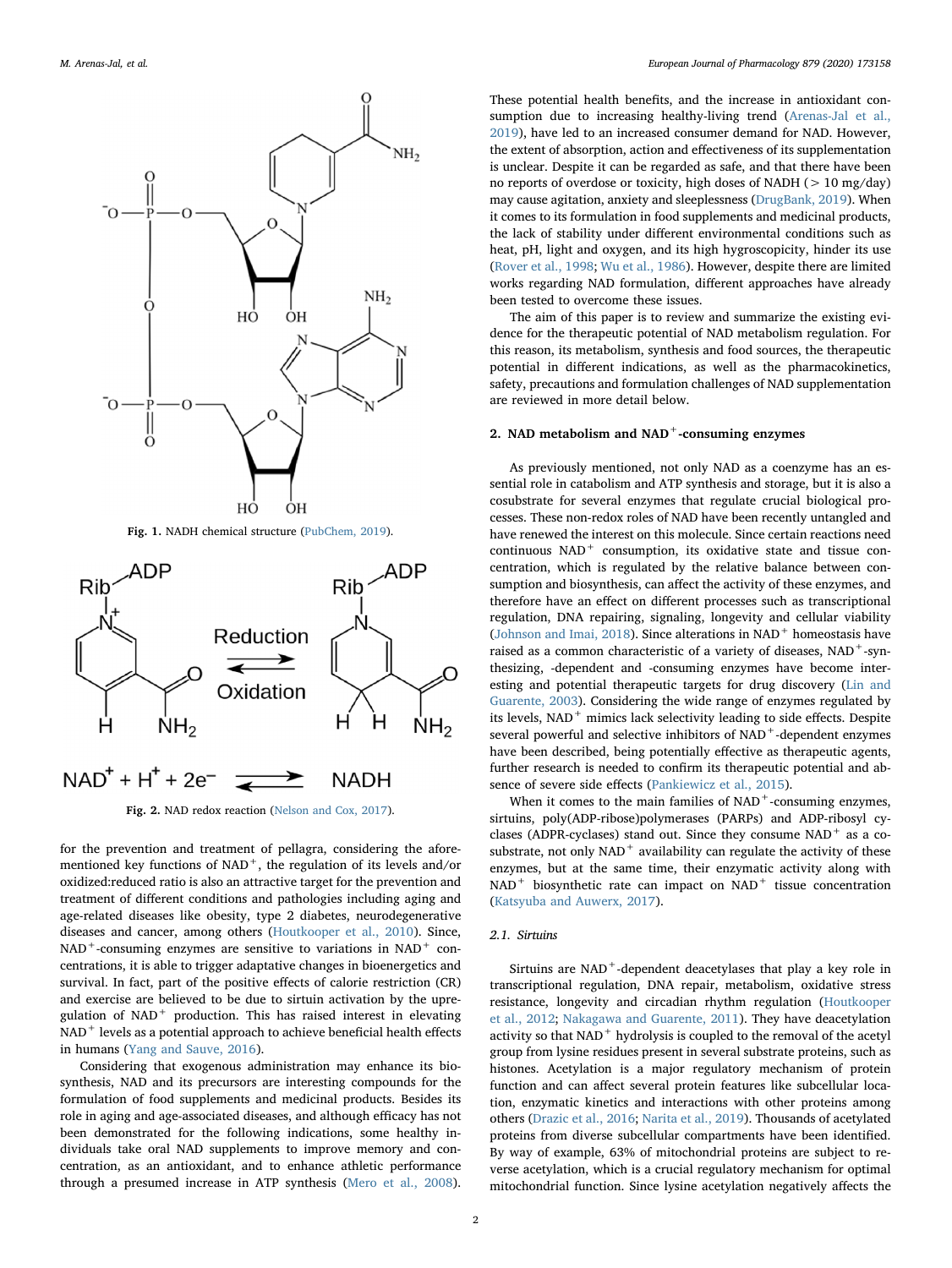<span id="page-1-0"></span>

<span id="page-1-1"></span>

Fig. 2. NAD redox reaction ([Nelson and Cox, 2017](#page-10-0)).

for the prevention and treatment of pellagra, considering the aforementioned key functions of  $NAD<sup>+</sup>$ , the regulation of its levels and/or oxidized:reduced ratio is also an attractive target for the prevention and treatment of different conditions and pathologies including aging and age-related diseases like obesity, type 2 diabetes, neurodegenerative diseases and cancer, among others ([Houtkooper et al., 2010\)](#page-9-0). Since,  $NAD^+$ -consuming enzymes are sensitive to variations in  $NAD^+$  concentrations, it is able to trigger adaptative changes in bioenergetics and survival. In fact, part of the positive effects of calorie restriction (CR) and exercise are believed to be due to sirtuin activation by the upregulation of NAD<sup>+</sup> production. This has raised interest in elevating NAD<sup>+</sup> levels as a potential approach to achieve beneficial health effects in humans ([Yang and Sauve, 2016](#page-11-1)).

Considering that exogenous administration may enhance its biosynthesis, NAD and its precursors are interesting compounds for the formulation of food supplements and medicinal products. Besides its role in aging and age-associated diseases, and although efficacy has not been demonstrated for the following indications, some healthy individuals take oral NAD supplements to improve memory and concentration, as an antioxidant, and to enhance athletic performance through a presumed increase in ATP synthesis ([Mero et al., 2008](#page-10-6)).

These potential health benefits, and the increase in antioxidant consumption due to increasing healthy-living trend ([Arenas-Jal et al.,](#page-8-1) [2019\)](#page-8-1), have led to an increased consumer demand for NAD. However, the extent of absorption, action and effectiveness of its supplementation is unclear. Despite it can be regarded as safe, and that there have been no reports of overdose or toxicity, high doses of NADH (> 10 mg/day) may cause agitation, anxiety and sleeplessness [\(DrugBank, 2019](#page-9-3)). When it comes to its formulation in food supplements and medicinal products, the lack of stability under different environmental conditions such as heat, pH, light and oxygen, and its high hygroscopicity, hinder its use ([Rover et al., 1998;](#page-10-7) [Wu et al., 1986](#page-11-2)). However, despite there are limited works regarding NAD formulation, different approaches have already been tested to overcome these issues.

The aim of this paper is to review and summarize the existing evidence for the therapeutic potential of NAD metabolism regulation. For this reason, its metabolism, synthesis and food sources, the therapeutic potential in different indications, as well as the pharmacokinetics, safety, precautions and formulation challenges of NAD supplementation are reviewed in more detail below.

## 2. NAD metabolism and NAD<sup>+</sup>-consuming enzymes

As previously mentioned, not only NAD as a coenzyme has an essential role in catabolism and ATP synthesis and storage, but it is also a cosubstrate for several enzymes that regulate crucial biological processes. These non-redox roles of NAD have been recently untangled and have renewed the interest on this molecule. Since certain reactions need continuous NAD<sup>+</sup> consumption, its oxidative state and tissue concentration, which is regulated by the relative balance between consumption and biosynthesis, can affect the activity of these enzymes, and therefore have an effect on different processes such as transcriptional regulation, DNA repairing, signaling, longevity and cellular viability ([Johnson and Imai, 2018\)](#page-9-4). Since alterations in  $NAD<sup>+</sup>$  homeostasis have raised as a common characteristic of a variety of diseases, NAD<sup>+</sup>-synthesizing, -dependent and -consuming enzymes have become interesting and potential therapeutic targets for drug discovery ([Lin and](#page-10-3) [Guarente, 2003\)](#page-10-3). Considering the wide range of enzymes regulated by its levels, NAD<sup>+</sup> mimics lack selectivity leading to side effects. Despite several powerful and selective inhibitors of NAD<sup>+</sup>-dependent enzymes have been described, being potentially effective as therapeutic agents, further research is needed to confirm its therapeutic potential and absence of severe side effects ([Pankiewicz et al., 2015](#page-10-5)).

When it comes to the main families of  $NAD<sup>+</sup>$ -consuming enzymes, sirtuins, poly(ADP-ribose)polymerases (PARPs) and ADP-ribosyl cyclases (ADPR-cyclases) stand out. Since they consume  $NAD$ <sup>+</sup> as a cosubstrate, not only  $NAD$ <sup>+</sup> availability can regulate the activity of these enzymes, but at the same time, their enzymatic activity along with NAD<sup>+</sup> biosynthetic rate can impact on NAD<sup>+</sup> tissue concentration ([Katsyuba and Auwerx, 2017](#page-9-5)).

# 2.1. Sirtuins

Sirtuins are NAD<sup>+</sup>-dependent deacetylases that play a key role in transcriptional regulation, DNA repair, metabolism, oxidative stress resistance, longevity and circadian rhythm regulation ([Houtkooper](#page-9-6) [et al., 2012](#page-9-6); [Nakagawa and Guarente, 2011\)](#page-10-8). They have deacetylation activity so that NAD<sup>+</sup> hydrolysis is coupled to the removal of the acetyl group from lysine residues present in several substrate proteins, such as histones. Acetylation is a major regulatory mechanism of protein function and can affect several protein features like subcellular location, enzymatic kinetics and interactions with other proteins among others [\(Drazic et al., 2016;](#page-9-7) [Narita et al., 2019\)](#page-10-9). Thousands of acetylated proteins from diverse subcellular compartments have been identified. By way of example, 63% of mitochondrial proteins are subject to reverse acetylation, which is a crucial regulatory mechanism for optimal mitochondrial function. Since lysine acetylation negatively affects the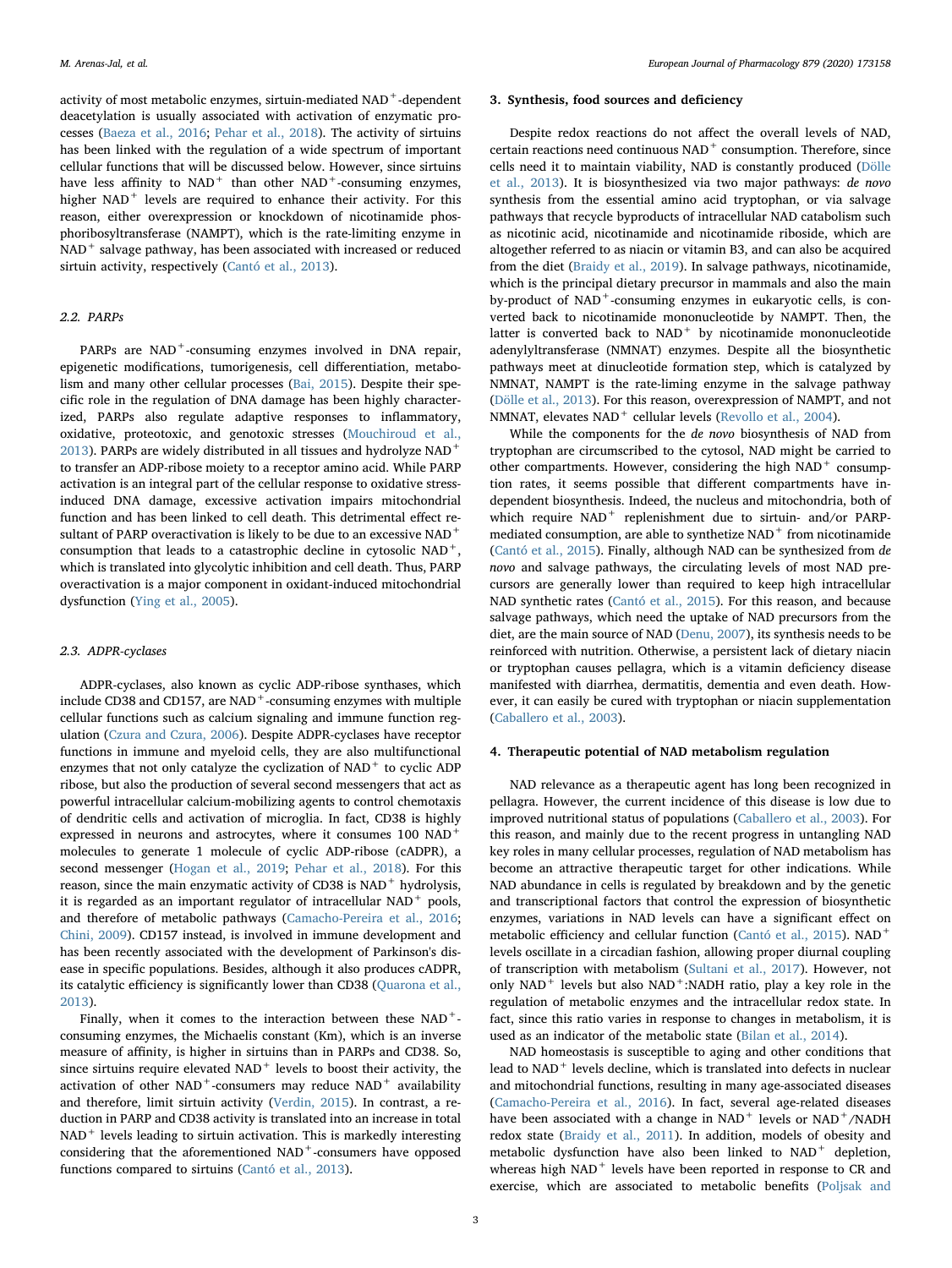activity of most metabolic enzymes, sirtuin-mediated NAD<sup>+</sup>-dependent deacetylation is usually associated with activation of enzymatic processes ([Baeza et al., 2016](#page-8-2); [Pehar et al., 2018\)](#page-10-4). The activity of sirtuins has been linked with the regulation of a wide spectrum of important cellular functions that will be discussed below. However, since sirtuins have less affinity to  $NAD<sup>+</sup>$  than other  $NAD<sup>+</sup>$ -consuming enzymes, higher NAD<sup>+</sup> levels are required to enhance their activity. For this reason, either overexpression or knockdown of nicotinamide phosphoribosyltransferase (NAMPT), which is the rate-limiting enzyme in NAD<sup>+</sup> salvage pathway, has been associated with increased or reduced sirtuin activity, respectively [\(Cantó et al., 2013](#page-9-8)).

## 2.2. PARPs

PARPs are NAD<sup>+</sup>-consuming enzymes involved in DNA repair, epigenetic modifications, tumorigenesis, cell differentiation, metabolism and many other cellular processes [\(Bai, 2015\)](#page-8-3). Despite their specific role in the regulation of DNA damage has been highly characterized, PARPs also regulate adaptive responses to inflammatory, oxidative, proteotoxic, and genotoxic stresses ([Mouchiroud et al.,](#page-10-10) [2013\)](#page-10-10). PARPs are widely distributed in all tissues and hydrolyze  $NAD^+$ to transfer an ADP-ribose moiety to a receptor amino acid. While PARP activation is an integral part of the cellular response to oxidative stressinduced DNA damage, excessive activation impairs mitochondrial function and has been linked to cell death. This detrimental effect resultant of PARP overactivation is likely to be due to an excessive NAD<sup>+</sup> consumption that leads to a catastrophic decline in cytosolic NAD+, which is translated into glycolytic inhibition and cell death. Thus, PARP overactivation is a major component in oxidant-induced mitochondrial dysfunction [\(Ying et al., 2005](#page-11-3)).

## 2.3. ADPR-cyclases

ADPR-cyclases, also known as cyclic ADP-ribose synthases, which include CD38 and CD157, are  $NAD<sup>+</sup>$ -consuming enzymes with multiple cellular functions such as calcium signaling and immune function regulation [\(Czura and Czura, 2006\)](#page-9-9). Despite ADPR-cyclases have receptor functions in immune and myeloid cells, they are also multifunctional enzymes that not only catalyze the cyclization of  $NAD<sup>+</sup>$  to cyclic ADP ribose, but also the production of several second messengers that act as powerful intracellular calcium-mobilizing agents to control chemotaxis of dendritic cells and activation of microglia. In fact, CD38 is highly expressed in neurons and astrocytes, where it consumes 100 NAD<sup>+</sup> molecules to generate 1 molecule of cyclic ADP-ribose (cADPR), a second messenger ([Hogan et al., 2019](#page-9-10); [Pehar et al., 2018](#page-10-4)). For this reason, since the main enzymatic activity of CD38 is  $\mathrm{NAD}^+$  hydrolysis, it is regarded as an important regulator of intracellular  $NAD<sup>+</sup>$  pools, and therefore of metabolic pathways ([Camacho-Pereira et al., 2016](#page-9-11); [Chini, 2009](#page-9-12)). CD157 instead, is involved in immune development and has been recently associated with the development of Parkinson's disease in specific populations. Besides, although it also produces cADPR, its catalytic efficiency is significantly lower than CD38 ([Quarona et al.,](#page-10-11) [2013\)](#page-10-11).

Finally, when it comes to the interaction between these NAD<sup>+</sup>consuming enzymes, the Michaelis constant (Km), which is an inverse measure of affinity, is higher in sirtuins than in PARPs and CD38. So, since sirtuins require elevated  $NAD<sup>+</sup>$  levels to boost their activity, the activation of other  $NAD^+$ -consumers may reduce  $NAD^+$  availability and therefore, limit sirtuin activity [\(Verdin, 2015](#page-11-4)). In contrast, a reduction in PARP and CD38 activity is translated into an increase in total  $NAD<sup>+</sup>$  levels leading to sirtuin activation. This is markedly interesting considering that the aforementioned NAD<sup>+</sup>-consumers have opposed functions compared to sirtuins ([Cantó et al., 2013\)](#page-9-8).

#### 3. Synthesis, food sources and deficiency

Despite redox reactions do not affect the overall levels of NAD, certain reactions need continuous NAD<sup>+</sup> consumption. Therefore, since cells need it to maintain viability, NAD is constantly produced [\(Dölle](#page-9-13) [et al., 2013\)](#page-9-13). It is biosynthesized via two major pathways: de novo synthesis from the essential amino acid tryptophan, or via salvage pathways that recycle byproducts of intracellular NAD catabolism such as nicotinic acid, nicotinamide and nicotinamide riboside, which are altogether referred to as niacin or vitamin B3, and can also be acquired from the diet ([Braidy et al., 2019\)](#page-9-14). In salvage pathways, nicotinamide, which is the principal dietary precursor in mammals and also the main by-product of  $NAD^+$ -consuming enzymes in eukaryotic cells, is converted back to nicotinamide mononucleotide by NAMPT. Then, the latter is converted back to  $NAD<sup>+</sup>$  by nicotinamide mononucleotide adenylyltransferase (NMNAT) enzymes. Despite all the biosynthetic pathways meet at dinucleotide formation step, which is catalyzed by NMNAT, NAMPT is the rate-liming enzyme in the salvage pathway ([Dölle et al., 2013](#page-9-13)). For this reason, overexpression of NAMPT, and not NMNAT, elevates  $NAD^+$  cellular levels ([Revollo et al., 2004](#page-10-12)).

While the components for the de novo biosynthesis of NAD from tryptophan are circumscribed to the cytosol, NAD might be carried to other compartments. However, considering the high  $NAD<sup>+</sup>$  consumption rates, it seems possible that different compartments have independent biosynthesis. Indeed, the nucleus and mitochondria, both of which require NAD<sup>+</sup> replenishment due to sirtuin- and/or PARPmediated consumption, are able to synthetize  $NAD<sup>+</sup>$  from nicotinamide ([Cantó et al., 2015\)](#page-9-15). Finally, although NAD can be synthesized from de novo and salvage pathways, the circulating levels of most NAD precursors are generally lower than required to keep high intracellular NAD synthetic rates [\(Cantó et al., 2015\)](#page-9-15). For this reason, and because salvage pathways, which need the uptake of NAD precursors from the diet, are the main source of NAD ([Denu, 2007\)](#page-9-16), its synthesis needs to be reinforced with nutrition. Otherwise, a persistent lack of dietary niacin or tryptophan causes pellagra, which is a vitamin deficiency disease manifested with diarrhea, dermatitis, dementia and even death. However, it can easily be cured with tryptophan or niacin supplementation ([Caballero et al., 2003\)](#page-9-17).

## 4. Therapeutic potential of NAD metabolism regulation

NAD relevance as a therapeutic agent has long been recognized in pellagra. However, the current incidence of this disease is low due to improved nutritional status of populations ([Caballero et al., 2003](#page-9-17)). For this reason, and mainly due to the recent progress in untangling NAD key roles in many cellular processes, regulation of NAD metabolism has become an attractive therapeutic target for other indications. While NAD abundance in cells is regulated by breakdown and by the genetic and transcriptional factors that control the expression of biosynthetic enzymes, variations in NAD levels can have a significant effect on metabolic efficiency and cellular function ([Cantó et al., 2015\)](#page-9-15). NAD<sup>+</sup> levels oscillate in a circadian fashion, allowing proper diurnal coupling of transcription with metabolism [\(Sultani et al., 2017\)](#page-11-0). However, not only  $NAD$ <sup>+</sup> levels but also  $NAD$ <sup>+</sup>:NADH ratio, play a key role in the regulation of metabolic enzymes and the intracellular redox state. In fact, since this ratio varies in response to changes in metabolism, it is used as an indicator of the metabolic state ([Bilan et al., 2014](#page-8-4)).

NAD homeostasis is susceptible to aging and other conditions that lead to NAD<sup>+</sup> levels decline, which is translated into defects in nuclear and mitochondrial functions, resulting in many age-associated diseases ([Camacho-Pereira et al., 2016](#page-9-11)). In fact, several age-related diseases have been associated with a change in  $NAD<sup>+</sup>$  levels or  $NAD<sup>+</sup>/NADH$ redox state [\(Braidy et al., 2011](#page-9-18)). In addition, models of obesity and metabolic dysfunction have also been linked to NAD<sup>+</sup> depletion, whereas high NAD<sup>+</sup> levels have been reported in response to CR and exercise, which are associated to metabolic benefits [\(Poljsak and](#page-10-13)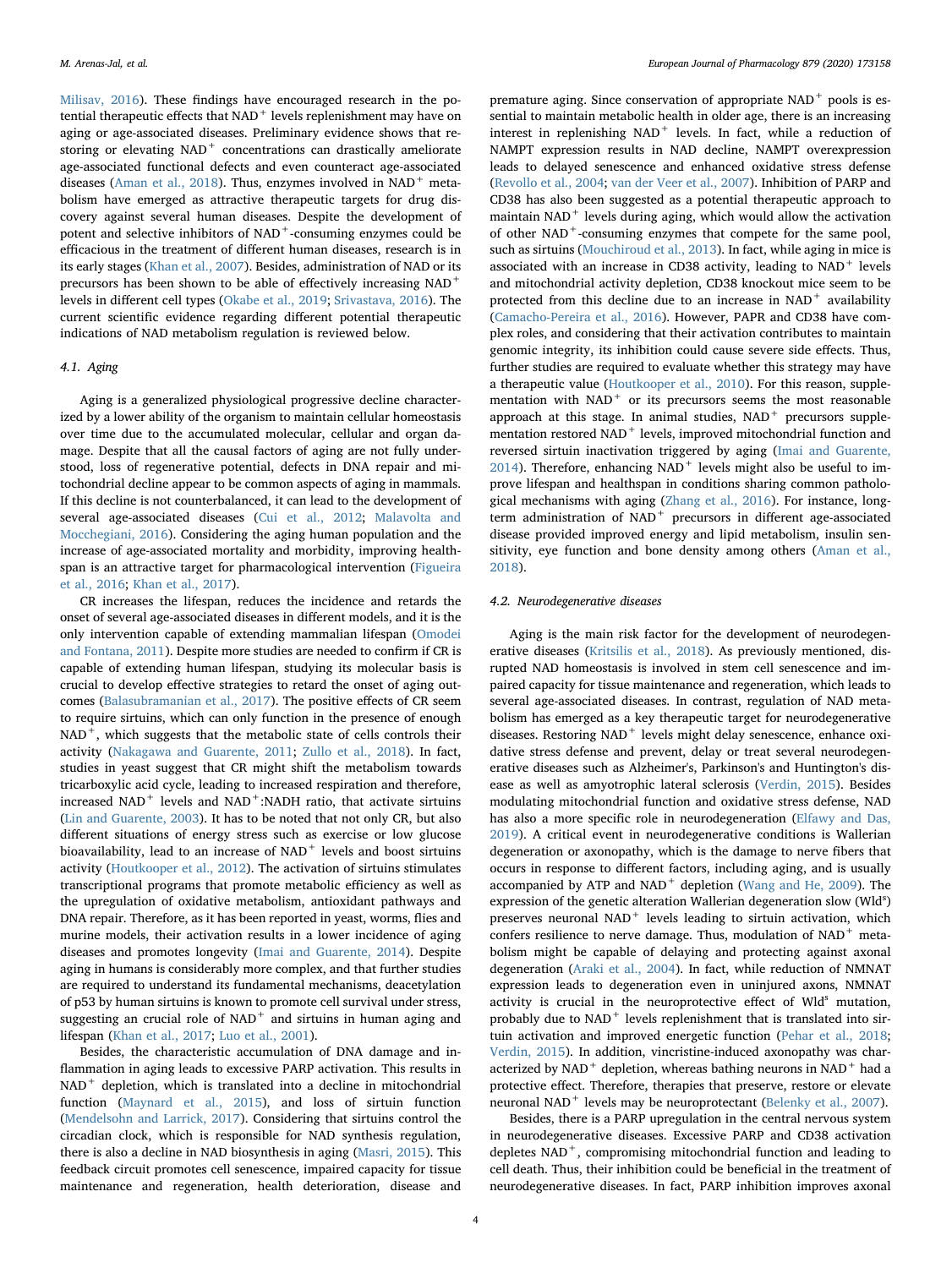[Milisav, 2016](#page-10-13)). These findings have encouraged research in the potential therapeutic effects that  $NAD<sup>+</sup>$  levels replenishment may have on aging or age-associated diseases. Preliminary evidence shows that restoring or elevating NAD<sup>+</sup> concentrations can drastically ameliorate age-associated functional defects and even counteract age-associated diseases ([Aman et al., 2018\)](#page-8-5). Thus, enzymes involved in NAD<sup>+</sup> metabolism have emerged as attractive therapeutic targets for drug discovery against several human diseases. Despite the development of potent and selective inhibitors of NAD<sup>+</sup>-consuming enzymes could be efficacious in the treatment of different human diseases, research is in its early stages [\(Khan et al., 2007\)](#page-9-2). Besides, administration of NAD or its precursors has been shown to be able of effectively increasing NAD<sup>+</sup> levels in different cell types ([Okabe et al., 2019;](#page-10-14) [Srivastava, 2016\)](#page-10-15). The current scientific evidence regarding different potential therapeutic indications of NAD metabolism regulation is reviewed below.

# 4.1. Aging

Aging is a generalized physiological progressive decline characterized by a lower ability of the organism to maintain cellular homeostasis over time due to the accumulated molecular, cellular and organ damage. Despite that all the causal factors of aging are not fully understood, loss of regenerative potential, defects in DNA repair and mitochondrial decline appear to be common aspects of aging in mammals. If this decline is not counterbalanced, it can lead to the development of several age-associated diseases ([Cui et al., 2012;](#page-9-19) [Malavolta and](#page-10-16) [Mocchegiani, 2016](#page-10-16)). Considering the aging human population and the increase of age-associated mortality and morbidity, improving healthspan is an attractive target for pharmacological intervention ([Figueira](#page-9-20) [et al., 2016](#page-9-20); [Khan et al., 2017\)](#page-9-21).

CR increases the lifespan, reduces the incidence and retards the onset of several age-associated diseases in different models, and it is the only intervention capable of extending mammalian lifespan ([Omodei](#page-10-17) [and Fontana, 2011](#page-10-17)). Despite more studies are needed to confirm if CR is capable of extending human lifespan, studying its molecular basis is crucial to develop effective strategies to retard the onset of aging outcomes [\(Balasubramanian et al., 2017](#page-8-6)). The positive effects of CR seem to require sirtuins, which can only function in the presence of enough  $NAD<sup>+</sup>$ , which suggests that the metabolic state of cells controls their activity ([Nakagawa and Guarente, 2011;](#page-10-8) [Zullo et al., 2018\)](#page-11-5). In fact, studies in yeast suggest that CR might shift the metabolism towards tricarboxylic acid cycle, leading to increased respiration and therefore, increased  $NAD$ <sup>+</sup> levels and  $NAD$ <sup>+</sup>:NADH ratio, that activate sirtuins ([Lin and Guarente, 2003\)](#page-10-3). It has to be noted that not only CR, but also different situations of energy stress such as exercise or low glucose bioavailability, lead to an increase of NAD<sup>+</sup> levels and boost sirtuins activity ([Houtkooper et al., 2012](#page-9-6)). The activation of sirtuins stimulates transcriptional programs that promote metabolic efficiency as well as the upregulation of oxidative metabolism, antioxidant pathways and DNA repair. Therefore, as it has been reported in yeast, worms, flies and murine models, their activation results in a lower incidence of aging diseases and promotes longevity ([Imai and Guarente, 2014\)](#page-9-22). Despite aging in humans is considerably more complex, and that further studies are required to understand its fundamental mechanisms, deacetylation of p53 by human sirtuins is known to promote cell survival under stress, suggesting an crucial role of NAD<sup>+</sup> and sirtuins in human aging and lifespan ([Khan et al., 2017](#page-9-21); [Luo et al., 2001\)](#page-10-18).

Besides, the characteristic accumulation of DNA damage and inflammation in aging leads to excessive PARP activation. This results in NAD<sup>+</sup> depletion, which is translated into a decline in mitochondrial function ([Maynard et al., 2015](#page-10-19)), and loss of sirtuin function ([Mendelsohn and Larrick, 2017](#page-10-20)). Considering that sirtuins control the circadian clock, which is responsible for NAD synthesis regulation, there is also a decline in NAD biosynthesis in aging ([Masri, 2015](#page-10-21)). This feedback circuit promotes cell senescence, impaired capacity for tissue maintenance and regeneration, health deterioration, disease and

premature aging. Since conservation of appropriate  $NAD<sup>+</sup>$  pools is essential to maintain metabolic health in older age, there is an increasing interest in replenishing NAD<sup>+</sup> levels. In fact, while a reduction of NAMPT expression results in NAD decline, NAMPT overexpression leads to delayed senescence and enhanced oxidative stress defense ([Revollo et al., 2004](#page-10-12); [van der Veer et al., 2007](#page-11-6)). Inhibition of PARP and CD38 has also been suggested as a potential therapeutic approach to maintain NAD<sup>+</sup> levels during aging, which would allow the activation of other NAD<sup>+</sup>-consuming enzymes that compete for the same pool, such as sirtuins ([Mouchiroud et al., 2013\)](#page-10-10). In fact, while aging in mice is associated with an increase in CD38 activity, leading to  $NAD^+$  levels and mitochondrial activity depletion, CD38 knockout mice seem to be protected from this decline due to an increase in  $NAD^+$  availability ([Camacho-Pereira et al., 2016](#page-9-11)). However, PAPR and CD38 have complex roles, and considering that their activation contributes to maintain genomic integrity, its inhibition could cause severe side effects. Thus, further studies are required to evaluate whether this strategy may have a therapeutic value ([Houtkooper et al., 2010](#page-9-0)). For this reason, supplementation with  $NAD<sup>+</sup>$  or its precursors seems the most reasonable approach at this stage. In animal studies,  $NAD<sup>+</sup>$  precursors supplementation restored NAD<sup>+</sup> levels, improved mitochondrial function and reversed sirtuin inactivation triggered by aging ([Imai and Guarente,](#page-9-22)  $2014$ ). Therefore, enhancing NAD<sup>+</sup> levels might also be useful to improve lifespan and healthspan in conditions sharing common pathological mechanisms with aging [\(Zhang et al., 2016\)](#page-11-7). For instance, longterm administration of  $\mathrm{NAD}^+$  precursors in different age-associated disease provided improved energy and lipid metabolism, insulin sensitivity, eye function and bone density among others [\(Aman et al.,](#page-8-5) [2018\)](#page-8-5).

## <span id="page-3-0"></span>4.2. Neurodegenerative diseases

Aging is the main risk factor for the development of neurodegenerative diseases ([Kritsilis et al., 2018](#page-9-23)). As previously mentioned, disrupted NAD homeostasis is involved in stem cell senescence and impaired capacity for tissue maintenance and regeneration, which leads to several age-associated diseases. In contrast, regulation of NAD metabolism has emerged as a key therapeutic target for neurodegenerative diseases. Restoring NAD<sup>+</sup> levels might delay senescence, enhance oxidative stress defense and prevent, delay or treat several neurodegenerative diseases such as Alzheimer's, Parkinson's and Huntington's disease as well as amyotrophic lateral sclerosis [\(Verdin, 2015\)](#page-11-4). Besides modulating mitochondrial function and oxidative stress defense, NAD has also a more specific role in neurodegeneration ([Elfawy and Das,](#page-9-24) [2019\)](#page-9-24). A critical event in neurodegenerative conditions is Wallerian degeneration or axonopathy, which is the damage to nerve fibers that occurs in response to different factors, including aging, and is usually accompanied by ATP and NAD<sup>+</sup> depletion ([Wang and He, 2009](#page-11-8)). The expression of the genetic alteration Wallerian degeneration slow (Wld<sup>s</sup>) preserves neuronal NAD<sup>+</sup> levels leading to sirtuin activation, which confers resilience to nerve damage. Thus, modulation of NAD<sup>+</sup> metabolism might be capable of delaying and protecting against axonal degeneration ([Araki et al., 2004\)](#page-8-7). In fact, while reduction of NMNAT expression leads to degeneration even in uninjured axons, NMNAT activity is crucial in the neuroprotective effect of Wld<sup>s</sup> mutation, probably due to NAD<sup>+</sup> levels replenishment that is translated into sirtuin activation and improved energetic function ([Pehar et al., 2018](#page-10-4); [Verdin, 2015\)](#page-11-4). In addition, vincristine-induced axonopathy was characterized by  $NAD^+$  depletion, whereas bathing neurons in  $NAD^+$  had a protective effect. Therefore, therapies that preserve, restore or elevate neuronal NAD<sup>+</sup> levels may be neuroprotectant ([Belenky et al., 2007\)](#page-8-0).

Besides, there is a PARP upregulation in the central nervous system in neurodegenerative diseases. Excessive PARP and CD38 activation depletes  $NAD^+$ , compromising mitochondrial function and leading to cell death. Thus, their inhibition could be beneficial in the treatment of neurodegenerative diseases. In fact, PARP inhibition improves axonal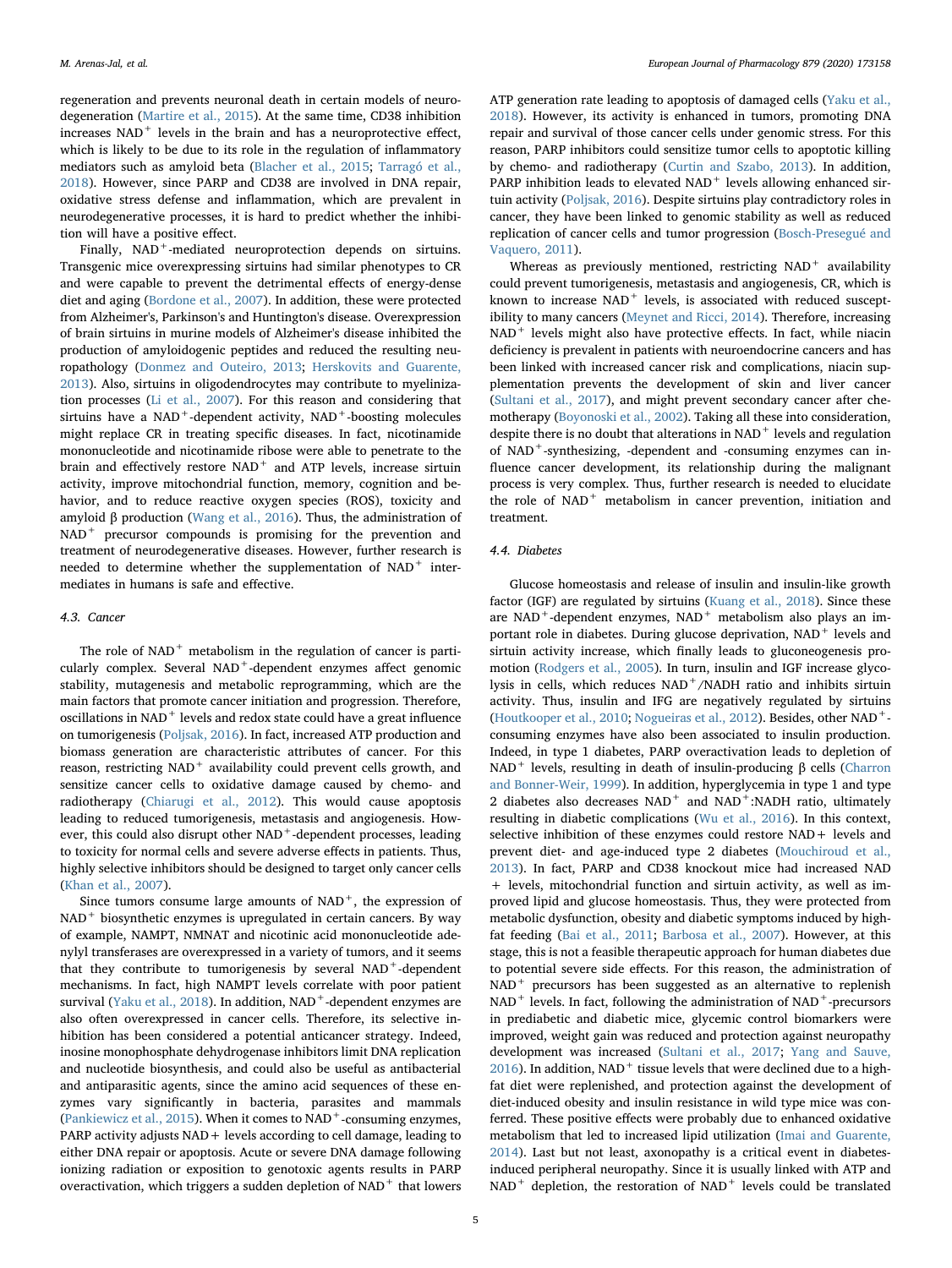regeneration and prevents neuronal death in certain models of neurodegeneration [\(Martire et al., 2015\)](#page-10-22). At the same time, CD38 inhibition increases  $NAD$ <sup>+</sup> levels in the brain and has a neuroprotective effect, which is likely to be due to its role in the regulation of inflammatory mediators such as amyloid beta [\(Blacher et al., 2015](#page-8-8); [Tarragó et al.,](#page-11-9) [2018\)](#page-11-9). However, since PARP and CD38 are involved in DNA repair, oxidative stress defense and inflammation, which are prevalent in neurodegenerative processes, it is hard to predict whether the inhibition will have a positive effect.

Finally, NAD<sup>+</sup>-mediated neuroprotection depends on sirtuins. Transgenic mice overexpressing sirtuins had similar phenotypes to CR and were capable to prevent the detrimental effects of energy-dense diet and aging [\(Bordone et al., 2007\)](#page-8-9). In addition, these were protected from Alzheimer's, Parkinson's and Huntington's disease. Overexpression of brain sirtuins in murine models of Alzheimer's disease inhibited the production of amyloidogenic peptides and reduced the resulting neuropathology ([Donmez and Outeiro, 2013](#page-9-25); [Herskovits and Guarente,](#page-9-26) [2013\)](#page-9-26). Also, sirtuins in oligodendrocytes may contribute to myelinization processes [\(Li et al., 2007\)](#page-9-27). For this reason and considering that sirtuins have a  $NAD^+$ -dependent activity,  $NAD^+$ -boosting molecules might replace CR in treating specific diseases. In fact, nicotinamide mononucleotide and nicotinamide ribose were able to penetrate to the brain and effectively restore NAD<sup>+</sup> and ATP levels, increase sirtuin activity, improve mitochondrial function, memory, cognition and behavior, and to reduce reactive oxygen species (ROS), toxicity and amyloid β production [\(Wang et al., 2016\)](#page-11-10). Thus, the administration of NAD<sup>+</sup> precursor compounds is promising for the prevention and treatment of neurodegenerative diseases. However, further research is needed to determine whether the supplementation of  $NAD<sup>+</sup>$  intermediates in humans is safe and effective.

## 4.3. Cancer

The role of  $NAD$ <sup>+</sup> metabolism in the regulation of cancer is particularly complex. Several NAD<sup>+</sup>-dependent enzymes affect genomic stability, mutagenesis and metabolic reprogramming, which are the main factors that promote cancer initiation and progression. Therefore, oscillations in  $NAD$ <sup>+</sup> levels and redox state could have a great influence on tumorigenesis [\(Poljsak, 2016\)](#page-10-23). In fact, increased ATP production and biomass generation are characteristic attributes of cancer. For this reason, restricting NAD<sup>+</sup> availability could prevent cells growth, and sensitize cancer cells to oxidative damage caused by chemo- and radiotherapy [\(Chiarugi et al., 2012\)](#page-9-1). This would cause apoptosis leading to reduced tumorigenesis, metastasis and angiogenesis. However, this could also disrupt other NAD<sup>+</sup>-dependent processes, leading to toxicity for normal cells and severe adverse effects in patients. Thus, highly selective inhibitors should be designed to target only cancer cells ([Khan et al., 2007](#page-9-2)).

Since tumors consume large amounts of  $NAD<sup>+</sup>$ , the expression of  $NAD<sup>+</sup>$  biosynthetic enzymes is upregulated in certain cancers. By way of example, NAMPT, NMNAT and nicotinic acid mononucleotide adenylyl transferases are overexpressed in a variety of tumors, and it seems that they contribute to tumorigenesis by several NAD<sup>+</sup>-dependent mechanisms. In fact, high NAMPT levels correlate with poor patient survival ([Yaku et al., 2018\)](#page-11-11). In addition,  $NAD<sup>+</sup>$ -dependent enzymes are also often overexpressed in cancer cells. Therefore, its selective inhibition has been considered a potential anticancer strategy. Indeed, inosine monophosphate dehydrogenase inhibitors limit DNA replication and nucleotide biosynthesis, and could also be useful as antibacterial and antiparasitic agents, since the amino acid sequences of these enzymes vary significantly in bacteria, parasites and mammals ([Pankiewicz et al., 2015\)](#page-10-5). When it comes to  $NAD^+$ -consuming enzymes, PARP activity adjusts  $NAD +$  levels according to cell damage, leading to either DNA repair or apoptosis. Acute or severe DNA damage following ionizing radiation or exposition to genotoxic agents results in PARP overactivation, which triggers a sudden depletion of  $NAD<sup>+</sup>$  that lowers

ATP generation rate leading to apoptosis of damaged cells ([Yaku et al.,](#page-11-11) [2018\)](#page-11-11). However, its activity is enhanced in tumors, promoting DNA repair and survival of those cancer cells under genomic stress. For this reason, PARP inhibitors could sensitize tumor cells to apoptotic killing by chemo- and radiotherapy [\(Curtin and Szabo, 2013\)](#page-9-28). In addition, PARP inhibition leads to elevated  $NAD<sup>+</sup>$  levels allowing enhanced sirtuin activity [\(Poljsak, 2016\)](#page-10-23). Despite sirtuins play contradictory roles in cancer, they have been linked to genomic stability as well as reduced replication of cancer cells and tumor progression [\(Bosch-Presegué and](#page-8-10) [Vaquero, 2011](#page-8-10)).

Whereas as previously mentioned, restricting  $NAD^+$  availability could prevent tumorigenesis, metastasis and angiogenesis, CR, which is known to increase  $NAD^+$  levels, is associated with reduced susceptibility to many cancers [\(Meynet and Ricci, 2014\)](#page-10-24). Therefore, increasing NAD<sup>+</sup> levels might also have protective effects. In fact, while niacin deficiency is prevalent in patients with neuroendocrine cancers and has been linked with increased cancer risk and complications, niacin supplementation prevents the development of skin and liver cancer ([Sultani et al., 2017\)](#page-11-0), and might prevent secondary cancer after chemotherapy ([Boyonoski et al., 2002](#page-8-11)). Taking all these into consideration, despite there is no doubt that alterations in  $NAD<sup>+</sup>$  levels and regulation of NAD<sup>+</sup>-synthesizing, -dependent and -consuming enzymes can influence cancer development, its relationship during the malignant process is very complex. Thus, further research is needed to elucidate the role of NAD<sup>+</sup> metabolism in cancer prevention, initiation and treatment.

#### 4.4. Diabetes

Glucose homeostasis and release of insulin and insulin-like growth factor (IGF) are regulated by sirtuins ([Kuang et al., 2018](#page-9-29)). Since these are NAD<sup>+</sup>-dependent enzymes, NAD<sup>+</sup> metabolism also plays an important role in diabetes. During glucose deprivation, NAD<sup>+</sup> levels and sirtuin activity increase, which finally leads to gluconeogenesis promotion [\(Rodgers et al., 2005](#page-10-25)). In turn, insulin and IGF increase glycolysis in cells, which reduces NAD<sup>+</sup>/NADH ratio and inhibits sirtuin activity. Thus, insulin and IFG are negatively regulated by sirtuins ([Houtkooper et al., 2010](#page-9-0); [Nogueiras et al., 2012](#page-10-26)). Besides, other NAD+ consuming enzymes have also been associated to insulin production. Indeed, in type 1 diabetes, PARP overactivation leads to depletion of NAD<sup>+</sup> levels, resulting in death of insulin-producing β cells ([Charron](#page-9-30) [and Bonner-Weir, 1999\)](#page-9-30). In addition, hyperglycemia in type 1 and type 2 diabetes also decreases  $NAD<sup>+</sup>$  and  $NAD<sup>+</sup>:NADH$  ratio, ultimately resulting in diabetic complications [\(Wu et al., 2016\)](#page-11-12). In this context, selective inhibition of these enzymes could restore NAD+ levels and prevent diet- and age-induced type 2 diabetes [\(Mouchiroud et al.,](#page-10-10) [2013\)](#page-10-10). In fact, PARP and CD38 knockout mice had increased NAD + levels, mitochondrial function and sirtuin activity, as well as improved lipid and glucose homeostasis. Thus, they were protected from metabolic dysfunction, obesity and diabetic symptoms induced by highfat feeding ([Bai et al., 2011](#page-8-12); [Barbosa et al., 2007\)](#page-8-13). However, at this stage, this is not a feasible therapeutic approach for human diabetes due to potential severe side effects. For this reason, the administration of NAD<sup>+</sup> precursors has been suggested as an alternative to replenish NAD<sup>+</sup> levels. In fact, following the administration of NAD<sup>+</sup>-precursors in prediabetic and diabetic mice, glycemic control biomarkers were improved, weight gain was reduced and protection against neuropathy development was increased [\(Sultani et al., 2017](#page-11-0); [Yang and Sauve,](#page-11-1)  $2016$ ). In addition, NAD<sup>+</sup> tissue levels that were declined due to a highfat diet were replenished, and protection against the development of diet-induced obesity and insulin resistance in wild type mice was conferred. These positive effects were probably due to enhanced oxidative metabolism that led to increased lipid utilization [\(Imai and Guarente,](#page-9-22) [2014\)](#page-9-22). Last but not least, axonopathy is a critical event in diabetesinduced peripheral neuropathy. Since it is usually linked with ATP and  $NAD$ <sup>+</sup> depletion, the restoration of  $NAD$ <sup>+</sup> levels could be translated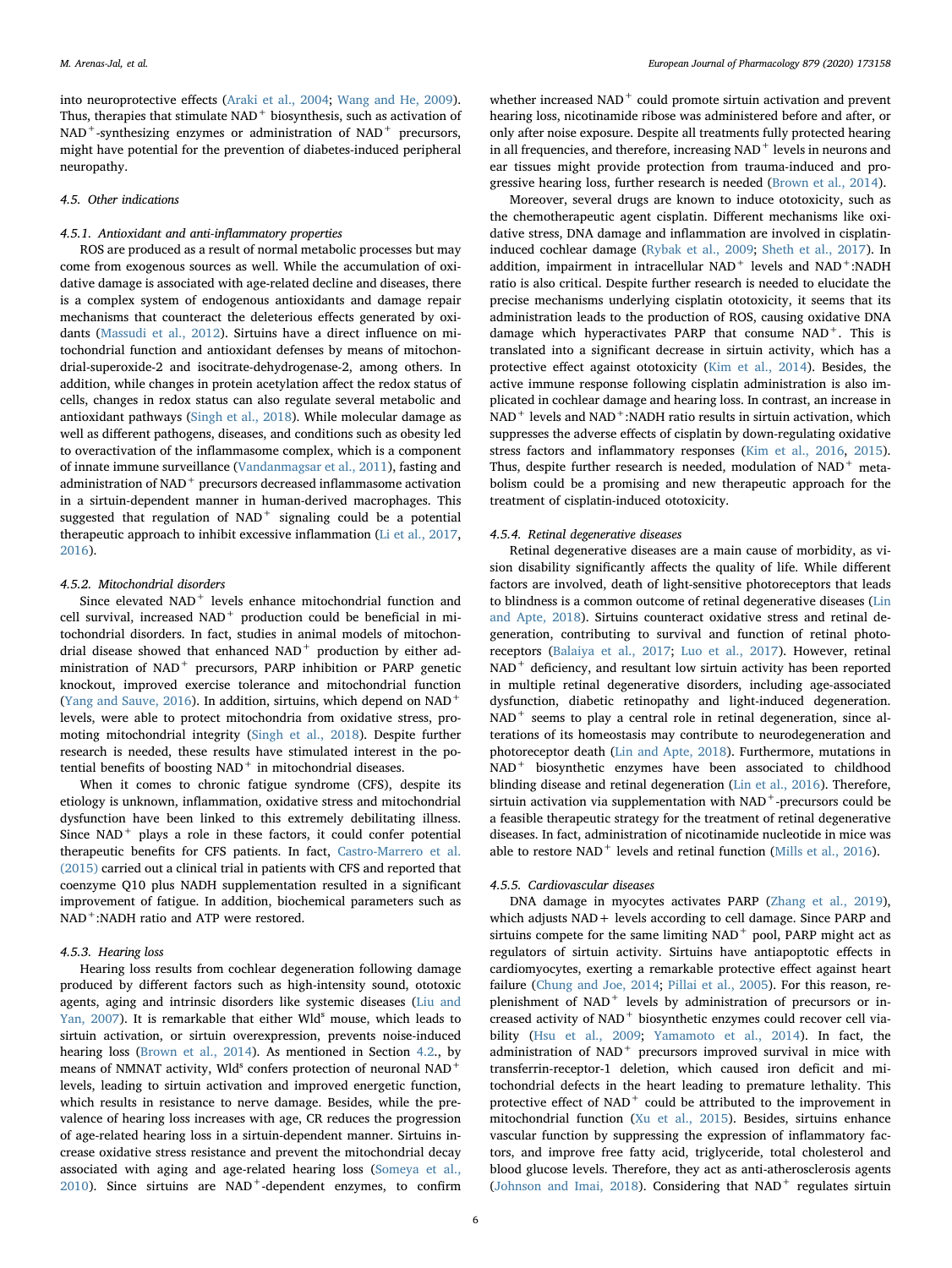into neuroprotective effects [\(Araki et al., 2004;](#page-8-7) [Wang and He, 2009](#page-11-8)). Thus, therapies that stimulate NAD<sup>+</sup> biosynthesis, such as activation of NAD<sup>+</sup>-synthesizing enzymes or administration of NAD<sup>+</sup> precursors, might have potential for the prevention of diabetes-induced peripheral neuropathy.

## 4.5. Other indications

# 4.5.1. Antioxidant and anti-inflammatory properties

ROS are produced as a result of normal metabolic processes but may come from exogenous sources as well. While the accumulation of oxidative damage is associated with age-related decline and diseases, there is a complex system of endogenous antioxidants and damage repair mechanisms that counteract the deleterious effects generated by oxidants [\(Massudi et al., 2012\)](#page-10-27). Sirtuins have a direct influence on mitochondrial function and antioxidant defenses by means of mitochondrial-superoxide-2 and isocitrate-dehydrogenase-2, among others. In addition, while changes in protein acetylation affect the redox status of cells, changes in redox status can also regulate several metabolic and antioxidant pathways ([Singh et al., 2018\)](#page-10-28). While molecular damage as well as different pathogens, diseases, and conditions such as obesity led to overactivation of the inflammasome complex, which is a component of innate immune surveillance ([Vandanmagsar et al., 2011\)](#page-11-13), fasting and administration of NAD<sup>+</sup> precursors decreased inflammasome activation in a sirtuin-dependent manner in human-derived macrophages. This suggested that regulation of NAD<sup>+</sup> signaling could be a potential therapeutic approach to inhibit excessive inflammation ([Li et al., 2017](#page-10-29), [2016\)](#page-10-30).

## 4.5.2. Mitochondrial disorders

Since elevated NAD<sup>+</sup> levels enhance mitochondrial function and cell survival, increased NAD<sup>+</sup> production could be beneficial in mitochondrial disorders. In fact, studies in animal models of mitochondrial disease showed that enhanced  $NAD<sup>+</sup>$  production by either administration of NAD<sup>+</sup> precursors, PARP inhibition or PARP genetic knockout, improved exercise tolerance and mitochondrial function ([Yang and Sauve, 2016\)](#page-11-1). In addition, sirtuins, which depend on NAD<sup>+</sup> levels, were able to protect mitochondria from oxidative stress, promoting mitochondrial integrity ([Singh et al., 2018\)](#page-10-28). Despite further research is needed, these results have stimulated interest in the potential benefits of boosting  $NAD<sup>+</sup>$  in mitochondrial diseases.

When it comes to chronic fatigue syndrome (CFS), despite its etiology is unknown, inflammation, oxidative stress and mitochondrial dysfunction have been linked to this extremely debilitating illness. Since NAD<sup>+</sup> plays a role in these factors, it could confer potential therapeutic benefits for CFS patients. In fact, [Castro-Marrero et al.](#page-9-31) [\(2015\)](#page-9-31) carried out a clinical trial in patients with CFS and reported that coenzyme Q10 plus NADH supplementation resulted in a significant improvement of fatigue. In addition, biochemical parameters such as NAD<sup>+</sup>:NADH ratio and ATP were restored.

## 4.5.3. Hearing loss

Hearing loss results from cochlear degeneration following damage produced by different factors such as high-intensity sound, ototoxic agents, aging and intrinsic disorders like systemic diseases ([Liu and](#page-10-31) [Yan, 2007\)](#page-10-31). It is remarkable that either Wld<sup>s</sup> mouse, which leads to sirtuin activation, or sirtuin overexpression, prevents noise-induced hearing loss ([Brown et al., 2014\)](#page-9-32). As mentioned in Section [4.2.](#page-3-0), by means of NMNAT activity, Wld<sup>s</sup> confers protection of neuronal NAD<sup>+</sup> levels, leading to sirtuin activation and improved energetic function, which results in resistance to nerve damage. Besides, while the prevalence of hearing loss increases with age, CR reduces the progression of age-related hearing loss in a sirtuin-dependent manner. Sirtuins increase oxidative stress resistance and prevent the mitochondrial decay associated with aging and age-related hearing loss ([Someya et al.,](#page-10-32)  $2010$ ). Since sirtuins are NAD<sup>+</sup>-dependent enzymes, to confirm

whether increased  $NAD<sup>+</sup>$  could promote sirtuin activation and prevent hearing loss, nicotinamide ribose was administered before and after, or only after noise exposure. Despite all treatments fully protected hearing in all frequencies, and therefore, increasing NAD<sup>+</sup> levels in neurons and ear tissues might provide protection from trauma-induced and progressive hearing loss, further research is needed [\(Brown et al., 2014\)](#page-9-32).

Moreover, several drugs are known to induce ototoxicity, such as the chemotherapeutic agent cisplatin. Different mechanisms like oxidative stress, DNA damage and inflammation are involved in cisplatininduced cochlear damage ([Rybak et al., 2009;](#page-10-33) [Sheth et al., 2017](#page-10-34)). In addition, impairment in intracellular  $NAD^+$  levels and  $NAD^+$ :NADH ratio is also critical. Despite further research is needed to elucidate the precise mechanisms underlying cisplatin ototoxicity, it seems that its administration leads to the production of ROS, causing oxidative DNA damage which hyperactivates PARP that consume NAD<sup>+</sup>. This is translated into a significant decrease in sirtuin activity, which has a protective effect against ototoxicity ([Kim et al., 2014](#page-9-33)). Besides, the active immune response following cisplatin administration is also implicated in cochlear damage and hearing loss. In contrast, an increase in  $NAD<sup>+</sup>$  levels and  $NAD<sup>+</sup>:NADH$  ratio results in sirtuin activation, which suppresses the adverse effects of cisplatin by down-regulating oxidative stress factors and inflammatory responses ([Kim et al., 2016](#page-9-34), [2015](#page-9-35)). Thus, despite further research is needed, modulation of  $NAD<sup>+</sup>$  metabolism could be a promising and new therapeutic approach for the treatment of cisplatin-induced ototoxicity.

#### 4.5.4. Retinal degenerative diseases

Retinal degenerative diseases are a main cause of morbidity, as vision disability significantly affects the quality of life. While different factors are involved, death of light-sensitive photoreceptors that leads to blindness is a common outcome of retinal degenerative diseases ([Lin](#page-10-35) [and Apte, 2018\)](#page-10-35). Sirtuins counteract oxidative stress and retinal degeneration, contributing to survival and function of retinal photoreceptors [\(Balaiya et al., 2017;](#page-8-14) [Luo et al., 2017](#page-10-36)). However, retinal NAD<sup>+</sup> deficiency, and resultant low sirtuin activity has been reported in multiple retinal degenerative disorders, including age-associated dysfunction, diabetic retinopathy and light-induced degeneration.  $NAD$ <sup>+</sup> seems to play a central role in retinal degeneration, since alterations of its homeostasis may contribute to neurodegeneration and photoreceptor death ([Lin and Apte, 2018\)](#page-10-35). Furthermore, mutations in NAD<sup>+</sup> biosynthetic enzymes have been associated to childhood blinding disease and retinal degeneration [\(Lin et al., 2016](#page-10-37)). Therefore, sirtuin activation via supplementation with  $\mathrm{NAD}^+$  -precursors could be a feasible therapeutic strategy for the treatment of retinal degenerative diseases. In fact, administration of nicotinamide nucleotide in mice was able to restore  $NAD$ <sup>+</sup> levels and retinal function ([Mills et al., 2016\)](#page-10-38).

#### 4.5.5. Cardiovascular diseases

DNA damage in myocytes activates PARP [\(Zhang et al., 2019](#page-11-14)), which adjusts NAD + levels according to cell damage. Since PARP and sirtuins compete for the same limiting NAD<sup>+</sup> pool, PARP might act as regulators of sirtuin activity. Sirtuins have antiapoptotic effects in cardiomyocytes, exerting a remarkable protective effect against heart failure ([Chung and Joe, 2014;](#page-9-36) [Pillai et al., 2005\)](#page-10-39). For this reason, replenishment of NAD<sup>+</sup> levels by administration of precursors or increased activity of NAD<sup>+</sup> biosynthetic enzymes could recover cell viability [\(Hsu et al., 2009](#page-9-37); [Yamamoto et al., 2014\)](#page-11-15). In fact, the administration of NAD<sup>+</sup> precursors improved survival in mice with transferrin-receptor-1 deletion, which caused iron deficit and mitochondrial defects in the heart leading to premature lethality. This protective effect of  $NAD<sup>+</sup>$  could be attributed to the improvement in mitochondrial function ([Xu et al., 2015\)](#page-11-16). Besides, sirtuins enhance vascular function by suppressing the expression of inflammatory factors, and improve free fatty acid, triglyceride, total cholesterol and blood glucose levels. Therefore, they act as anti-atherosclerosis agents ([Johnson and Imai, 2018\)](#page-9-4). Considering that  $NAD<sup>+</sup>$  regulates sirtuin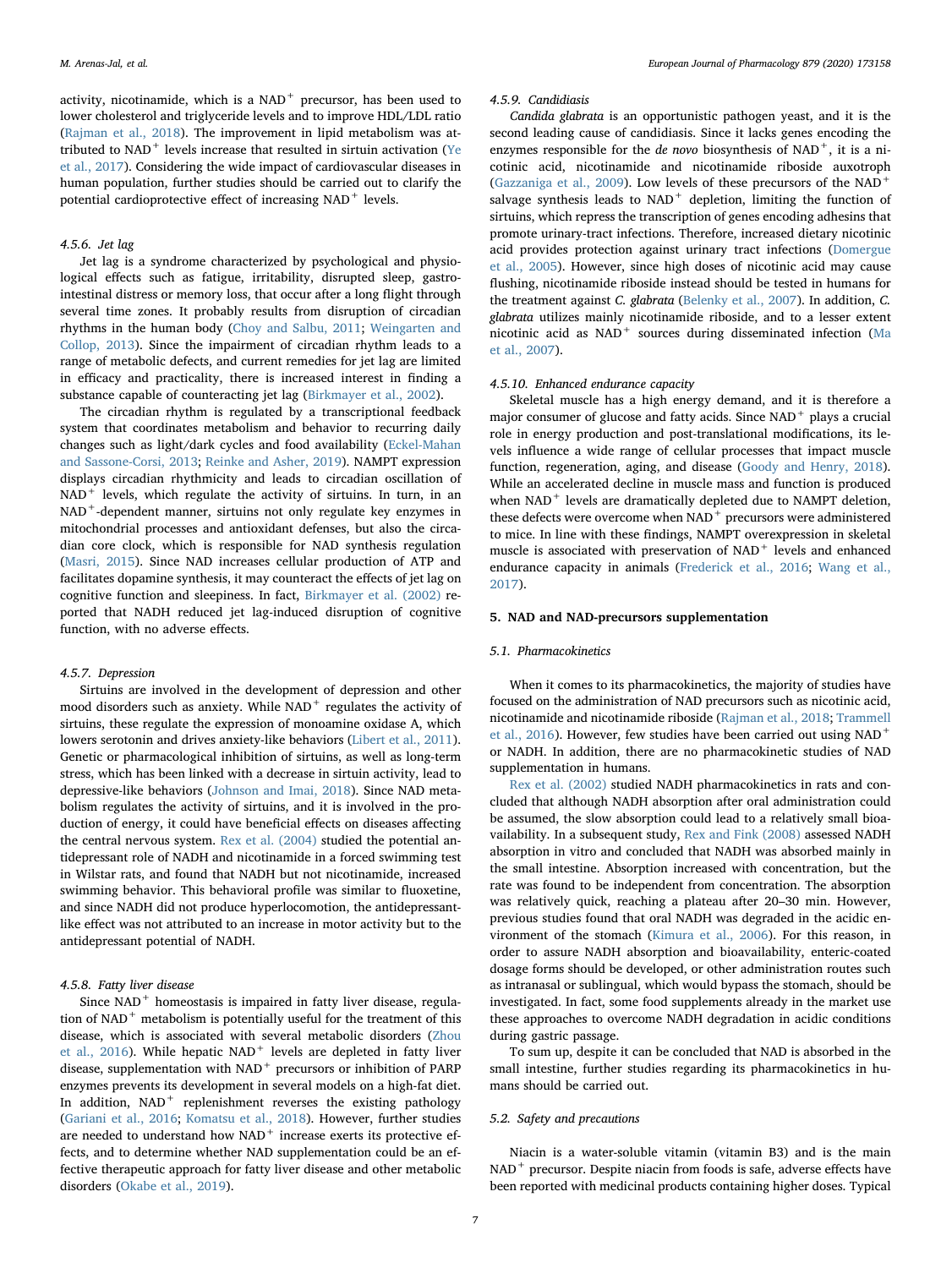activity, nicotinamide, which is a NAD<sup>+</sup> precursor, has been used to lower cholesterol and triglyceride levels and to improve HDL/LDL ratio ([Rajman et al., 2018\)](#page-10-40). The improvement in lipid metabolism was attributed to  $\mathrm{NAD}^+$  levels increase that resulted in sirtuin activation ([Ye](#page-11-17) [et al., 2017\)](#page-11-17). Considering the wide impact of cardiovascular diseases in human population, further studies should be carried out to clarify the potential cardioprotective effect of increasing NAD<sup>+</sup> levels.

# 4.5.6. Jet lag

Jet lag is a syndrome characterized by psychological and physiological effects such as fatigue, irritability, disrupted sleep, gastrointestinal distress or memory loss, that occur after a long flight through several time zones. It probably results from disruption of circadian rhythms in the human body ([Choy and Salbu, 2011](#page-9-38); [Weingarten and](#page-11-18) [Collop, 2013](#page-11-18)). Since the impairment of circadian rhythm leads to a range of metabolic defects, and current remedies for jet lag are limited in efficacy and practicality, there is increased interest in finding a substance capable of counteracting jet lag ([Birkmayer et al., 2002\)](#page-8-15).

The circadian rhythm is regulated by a transcriptional feedback system that coordinates metabolism and behavior to recurring daily changes such as light/dark cycles and food availability [\(Eckel-Mahan](#page-9-39) [and Sassone-Corsi, 2013;](#page-9-39) [Reinke and Asher, 2019\)](#page-10-41). NAMPT expression displays circadian rhythmicity and leads to circadian oscillation of  $NAD<sup>+</sup>$  levels, which regulate the activity of sirtuins. In turn, in an NAD<sup>+</sup>-dependent manner, sirtuins not only regulate key enzymes in mitochondrial processes and antioxidant defenses, but also the circadian core clock, which is responsible for NAD synthesis regulation ([Masri, 2015](#page-10-21)). Since NAD increases cellular production of ATP and facilitates dopamine synthesis, it may counteract the effects of jet lag on cognitive function and sleepiness. In fact, [Birkmayer et al. \(2002\)](#page-8-15) reported that NADH reduced jet lag-induced disruption of cognitive function, with no adverse effects.

## 4.5.7. Depression

Sirtuins are involved in the development of depression and other mood disorders such as anxiety. While NAD<sup>+</sup> regulates the activity of sirtuins, these regulate the expression of monoamine oxidase A, which lowers serotonin and drives anxiety-like behaviors [\(Libert et al., 2011](#page-10-42)). Genetic or pharmacological inhibition of sirtuins, as well as long-term stress, which has been linked with a decrease in sirtuin activity, lead to depressive-like behaviors ([Johnson and Imai, 2018\)](#page-9-4). Since NAD metabolism regulates the activity of sirtuins, and it is involved in the production of energy, it could have beneficial effects on diseases affecting the central nervous system. [Rex et al. \(2004\)](#page-10-43) studied the potential antidepressant role of NADH and nicotinamide in a forced swimming test in Wilstar rats, and found that NADH but not nicotinamide, increased swimming behavior. This behavioral profile was similar to fluoxetine, and since NADH did not produce hyperlocomotion, the antidepressantlike effect was not attributed to an increase in motor activity but to the antidepressant potential of NADH.

## 4.5.8. Fatty liver disease

Since  $NAD<sup>+</sup>$  homeostasis is impaired in fatty liver disease, regulation of  $NAD$ <sup>+</sup> metabolism is potentially useful for the treatment of this disease, which is associated with several metabolic disorders ([Zhou](#page-11-19) [et al., 2016](#page-11-19)). While hepatic  $NAD<sup>+</sup>$  levels are depleted in fatty liver disease, supplementation with NAD<sup>+</sup> precursors or inhibition of PARP enzymes prevents its development in several models on a high-fat diet. In addition,  $NAD^+$  replenishment reverses the existing pathology ([Gariani et al., 2016](#page-9-40); [Komatsu et al., 2018\)](#page-9-41). However, further studies are needed to understand how  $NAD^+$  increase exerts its protective effects, and to determine whether NAD supplementation could be an effective therapeutic approach for fatty liver disease and other metabolic disorders ([Okabe et al., 2019](#page-10-14)).

## 4.5.9. Candidiasis

Candida glabrata is an opportunistic pathogen yeast, and it is the second leading cause of candidiasis. Since it lacks genes encoding the enzymes responsible for the de novo biosynthesis of  $NAD^+$ , it is a nicotinic acid, nicotinamide and nicotinamide riboside auxotroph ([Gazzaniga et al., 2009](#page-9-42)). Low levels of these precursors of the NAD<sup>+</sup> salvage synthesis leads to  $NAD<sup>+</sup>$  depletion, limiting the function of sirtuins, which repress the transcription of genes encoding adhesins that promote urinary-tract infections. Therefore, increased dietary nicotinic acid provides protection against urinary tract infections [\(Domergue](#page-9-43) [et al., 2005\)](#page-9-43). However, since high doses of nicotinic acid may cause flushing, nicotinamide riboside instead should be tested in humans for the treatment against C. glabrata ([Belenky et al., 2007\)](#page-8-0). In addition, C. glabrata utilizes mainly nicotinamide riboside, and to a lesser extent nicotinic acid as NAD<sup>+</sup> sources during disseminated infection ([Ma](#page-10-44) [et al., 2007](#page-10-44)).

# 4.5.10. Enhanced endurance capacity

Skeletal muscle has a high energy demand, and it is therefore a major consumer of glucose and fatty acids. Since  $NAD^+$  plays a crucial role in energy production and post-translational modifications, its levels influence a wide range of cellular processes that impact muscle function, regeneration, aging, and disease ([Goody and Henry, 2018](#page-9-44)). While an accelerated decline in muscle mass and function is produced when NAD<sup>+</sup> levels are dramatically depleted due to NAMPT deletion, these defects were overcome when  $NAD<sup>+</sup>$  precursors were administered to mice. In line with these findings, NAMPT overexpression in skeletal muscle is associated with preservation of  $NAD<sup>+</sup>$  levels and enhanced endurance capacity in animals ([Frederick et al., 2016](#page-9-45); [Wang et al.,](#page-11-20) [2017\)](#page-11-20).

## 5. NAD and NAD-precursors supplementation

## 5.1. Pharmacokinetics

When it comes to its pharmacokinetics, the majority of studies have focused on the administration of NAD precursors such as nicotinic acid, nicotinamide and nicotinamide riboside [\(Rajman et al., 2018](#page-10-40); [Trammell](#page-11-21) [et al., 2016](#page-11-21)). However, few studies have been carried out using NAD<sup>+</sup> or NADH. In addition, there are no pharmacokinetic studies of NAD supplementation in humans.

[Rex et al. \(2002\)](#page-10-45) studied NADH pharmacokinetics in rats and concluded that although NADH absorption after oral administration could be assumed, the slow absorption could lead to a relatively small bioavailability. In a subsequent study, [Rex and Fink \(2008\)](#page-10-46) assessed NADH absorption in vitro and concluded that NADH was absorbed mainly in the small intestine. Absorption increased with concentration, but the rate was found to be independent from concentration. The absorption was relatively quick, reaching a plateau after 20–30 min. However, previous studies found that oral NADH was degraded in the acidic environment of the stomach [\(Kimura et al., 2006\)](#page-9-46). For this reason, in order to assure NADH absorption and bioavailability, enteric-coated dosage forms should be developed, or other administration routes such as intranasal or sublingual, which would bypass the stomach, should be investigated. In fact, some food supplements already in the market use these approaches to overcome NADH degradation in acidic conditions during gastric passage.

To sum up, despite it can be concluded that NAD is absorbed in the small intestine, further studies regarding its pharmacokinetics in humans should be carried out.

#### 5.2. Safety and precautions

Niacin is a water-soluble vitamin (vitamin B3) and is the main NAD<sup>+</sup> precursor. Despite niacin from foods is safe, adverse effects have been reported with medicinal products containing higher doses. Typical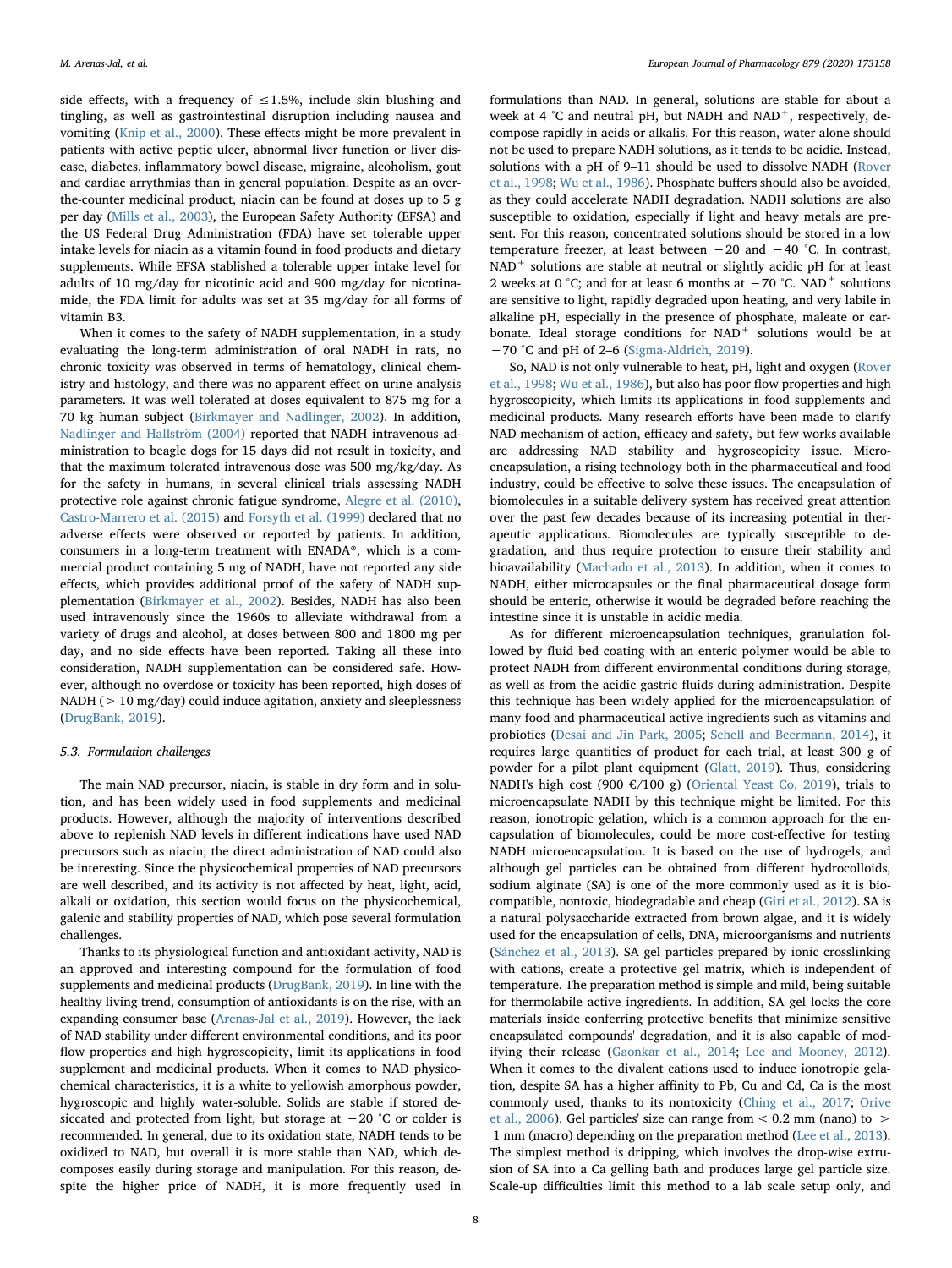side effects, with a frequency of  $\leq 1.5$ %, include skin blushing and tingling, as well as gastrointestinal disruption including nausea and vomiting ([Knip et al., 2000\)](#page-9-47). These effects might be more prevalent in patients with active peptic ulcer, abnormal liver function or liver disease, diabetes, inflammatory bowel disease, migraine, alcoholism, gout and cardiac arrythmias than in general population. Despite as an overthe-counter medicinal product, niacin can be found at doses up to 5 g per day ([Mills et al., 2003](#page-10-47)), the European Safety Authority (EFSA) and the US Federal Drug Administration (FDA) have set tolerable upper intake levels for niacin as a vitamin found in food products and dietary supplements. While EFSA stablished a tolerable upper intake level for adults of 10 mg/day for nicotinic acid and 900 mg/day for nicotinamide, the FDA limit for adults was set at 35 mg/day for all forms of vitamin B3.

When it comes to the safety of NADH supplementation, in a study evaluating the long-term administration of oral NADH in rats, no chronic toxicity was observed in terms of hematology, clinical chemistry and histology, and there was no apparent effect on urine analysis parameters. It was well tolerated at doses equivalent to 875 mg for a 70 kg human subject ([Birkmayer and Nadlinger, 2002](#page-8-16)). In addition, [Nadlinger and Hallström \(2004\)](#page-10-48) reported that NADH intravenous administration to beagle dogs for 15 days did not result in toxicity, and that the maximum tolerated intravenous dose was 500 mg/kg/day. As for the safety in humans, in several clinical trials assessing NADH protective role against chronic fatigue syndrome, [Alegre et al. \(2010\)](#page-8-17), [Castro-Marrero et al. \(2015\)](#page-9-31) and [Forsyth et al. \(1999\)](#page-9-48) declared that no adverse effects were observed or reported by patients. In addition, consumers in a long-term treatment with ENADA®, which is a commercial product containing 5 mg of NADH, have not reported any side effects, which provides additional proof of the safety of NADH supplementation ([Birkmayer et al., 2002](#page-8-15)). Besides, NADH has also been used intravenously since the 1960s to alleviate withdrawal from a variety of drugs and alcohol, at doses between 800 and 1800 mg per day, and no side effects have been reported. Taking all these into consideration, NADH supplementation can be considered safe. However, although no overdose or toxicity has been reported, high doses of NADH (> 10 mg/day) could induce agitation, anxiety and sleeplessness ([DrugBank, 2019](#page-9-3)).

#### 5.3. Formulation challenges

The main NAD precursor, niacin, is stable in dry form and in solution, and has been widely used in food supplements and medicinal products. However, although the majority of interventions described above to replenish NAD levels in different indications have used NAD precursors such as niacin, the direct administration of NAD could also be interesting. Since the physicochemical properties of NAD precursors are well described, and its activity is not affected by heat, light, acid, alkali or oxidation, this section would focus on the physicochemical, galenic and stability properties of NAD, which pose several formulation challenges.

Thanks to its physiological function and antioxidant activity, NAD is an approved and interesting compound for the formulation of food supplements and medicinal products ([DrugBank, 2019](#page-9-3)). In line with the healthy living trend, consumption of antioxidants is on the rise, with an expanding consumer base [\(Arenas-Jal et al., 2019\)](#page-8-1). However, the lack of NAD stability under different environmental conditions, and its poor flow properties and high hygroscopicity, limit its applications in food supplement and medicinal products. When it comes to NAD physicochemical characteristics, it is a white to yellowish amorphous powder, hygroscopic and highly water-soluble. Solids are stable if stored desiccated and protected from light, but storage at −20 °C or colder is recommended. In general, due to its oxidation state, NADH tends to be oxidized to NAD, but overall it is more stable than NAD, which decomposes easily during storage and manipulation. For this reason, despite the higher price of NADH, it is more frequently used in formulations than NAD. In general, solutions are stable for about a week at 4  $^{\circ}$ C and neutral pH, but NADH and NAD<sup>+</sup>, respectively, decompose rapidly in acids or alkalis. For this reason, water alone should not be used to prepare NADH solutions, as it tends to be acidic. Instead, solutions with a pH of 9–11 should be used to dissolve NADH ([Rover](#page-10-7) [et al., 1998](#page-10-7); [Wu et al., 1986\)](#page-11-2). Phosphate buffers should also be avoided, as they could accelerate NADH degradation. NADH solutions are also susceptible to oxidation, especially if light and heavy metals are present. For this reason, concentrated solutions should be stored in a low temperature freezer, at least between −20 and −40 °C. In contrast, NAD<sup>+</sup> solutions are stable at neutral or slightly acidic pH for at least 2 weeks at 0 °C; and for at least 6 months at  $-70$  °C. NAD<sup>+</sup> solutions are sensitive to light, rapidly degraded upon heating, and very labile in alkaline pH, especially in the presence of phosphate, maleate or carbonate. Ideal storage conditions for NAD<sup>+</sup> solutions would be at −70 °C and pH of 2–6 [\(Sigma-Aldrich, 2019](#page-10-49)).

So, NAD is not only vulnerable to heat, pH, light and oxygen ([Rover](#page-10-7) [et al., 1998;](#page-10-7) [Wu et al., 1986](#page-11-2)), but also has poor flow properties and high hygroscopicity, which limits its applications in food supplements and medicinal products. Many research efforts have been made to clarify NAD mechanism of action, efficacy and safety, but few works available are addressing NAD stability and hygroscopicity issue. Microencapsulation, a rising technology both in the pharmaceutical and food industry, could be effective to solve these issues. The encapsulation of biomolecules in a suitable delivery system has received great attention over the past few decades because of its increasing potential in therapeutic applications. Biomolecules are typically susceptible to degradation, and thus require protection to ensure their stability and bioavailability ([Machado et al., 2013](#page-10-50)). In addition, when it comes to NADH, either microcapsules or the final pharmaceutical dosage form should be enteric, otherwise it would be degraded before reaching the intestine since it is unstable in acidic media.

As for different microencapsulation techniques, granulation followed by fluid bed coating with an enteric polymer would be able to protect NADH from different environmental conditions during storage, as well as from the acidic gastric fluids during administration. Despite this technique has been widely applied for the microencapsulation of many food and pharmaceutical active ingredients such as vitamins and probiotics ([Desai and Jin Park, 2005](#page-9-49); [Schell and Beermann, 2014](#page-10-51)), it requires large quantities of product for each trial, at least 300 g of powder for a pilot plant equipment ([Glatt, 2019](#page-9-50)). Thus, considering NADH's high cost (900  $\epsilon$ /100 g) ([Oriental Yeast Co, 2019\)](#page-10-52), trials to microencapsulate NADH by this technique might be limited. For this reason, ionotropic gelation, which is a common approach for the encapsulation of biomolecules, could be more cost-effective for testing NADH microencapsulation. It is based on the use of hydrogels, and although gel particles can be obtained from different hydrocolloids, sodium alginate (SA) is one of the more commonly used as it is biocompatible, nontoxic, biodegradable and cheap [\(Giri et al., 2012](#page-9-51)). SA is a natural polysaccharide extracted from brown algae, and it is widely used for the encapsulation of cells, DNA, microorganisms and nutrients ([Sánchez et al., 2013](#page-10-53)). SA gel particles prepared by ionic crosslinking with cations, create a protective gel matrix, which is independent of temperature. The preparation method is simple and mild, being suitable for thermolabile active ingredients. In addition, SA gel locks the core materials inside conferring protective benefits that minimize sensitive encapsulated compounds' degradation, and it is also capable of modifying their release [\(Gaonkar et al., 2014;](#page-9-52) [Lee and Mooney, 2012](#page-9-53)). When it comes to the divalent cations used to induce ionotropic gelation, despite SA has a higher affinity to Pb, Cu and Cd, Ca is the most commonly used, thanks to its nontoxicity (Ching [et al., 2017](#page-9-54); [Orive](#page-10-54) [et al., 2006\)](#page-10-54). Gel particles' size can range from  $< 0.2$  mm (nano) to  $>$ 1 mm (macro) depending on the preparation method ([Lee et al., 2013](#page-9-55)). The simplest method is dripping, which involves the drop-wise extrusion of SA into a Ca gelling bath and produces large gel particle size. Scale-up difficulties limit this method to a lab scale setup only, and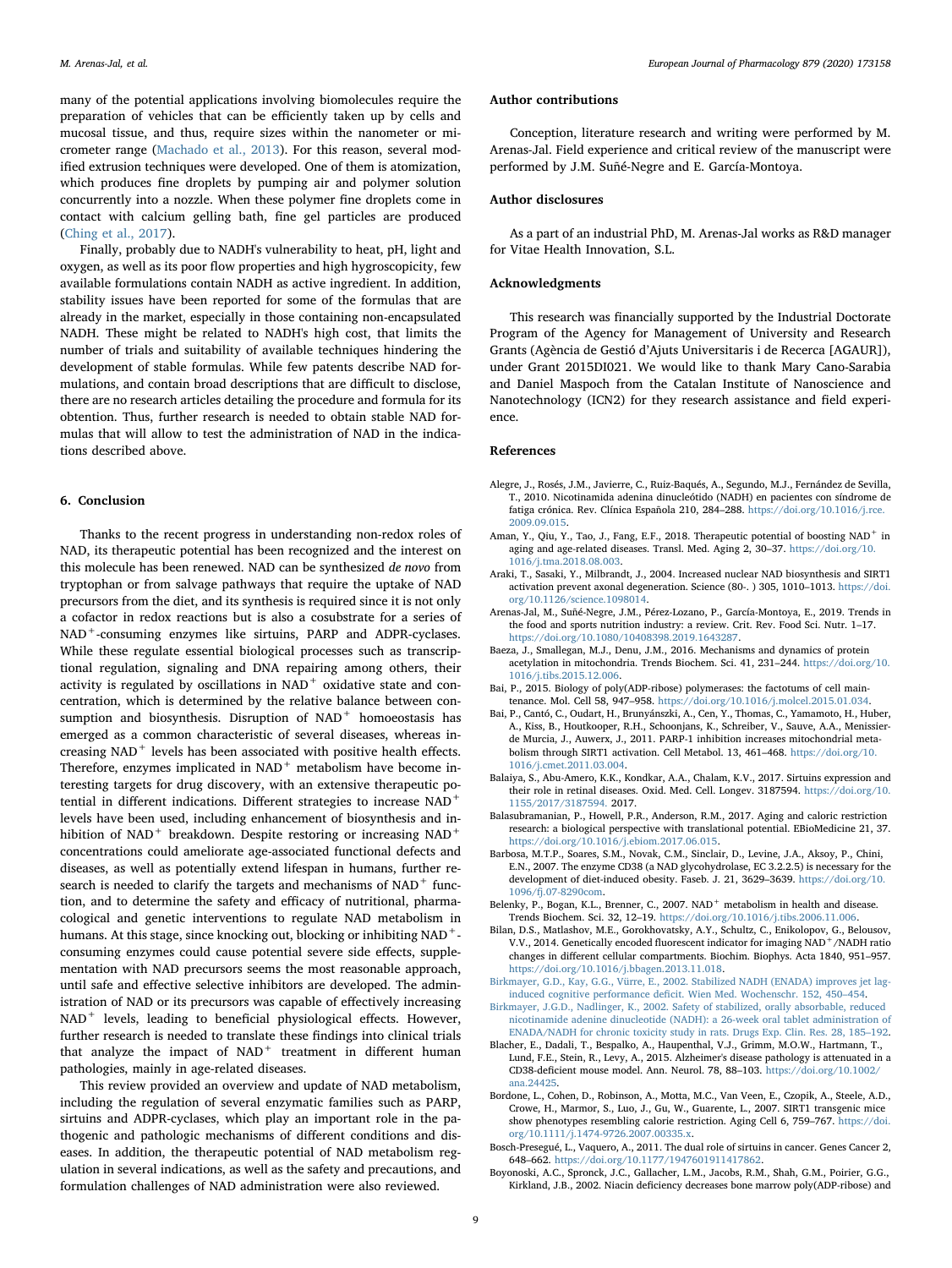many of the potential applications involving biomolecules require the preparation of vehicles that can be efficiently taken up by cells and mucosal tissue, and thus, require sizes within the nanometer or micrometer range [\(Machado et al., 2013](#page-10-50)). For this reason, several modified extrusion techniques were developed. One of them is atomization, which produces fine droplets by pumping air and polymer solution concurrently into a nozzle. When these polymer fine droplets come in contact with calcium gelling bath, fine gel particles are produced ([Ching et al., 2017\)](#page-9-54).

Finally, probably due to NADH's vulnerability to heat, pH, light and oxygen, as well as its poor flow properties and high hygroscopicity, few available formulations contain NADH as active ingredient. In addition, stability issues have been reported for some of the formulas that are already in the market, especially in those containing non-encapsulated NADH. These might be related to NADH's high cost, that limits the number of trials and suitability of available techniques hindering the development of stable formulas. While few patents describe NAD formulations, and contain broad descriptions that are difficult to disclose, there are no research articles detailing the procedure and formula for its obtention. Thus, further research is needed to obtain stable NAD formulas that will allow to test the administration of NAD in the indications described above.

## 6. Conclusion

Thanks to the recent progress in understanding non-redox roles of NAD, its therapeutic potential has been recognized and the interest on this molecule has been renewed. NAD can be synthesized de novo from tryptophan or from salvage pathways that require the uptake of NAD precursors from the diet, and its synthesis is required since it is not only a cofactor in redox reactions but is also a cosubstrate for a series of NAD<sup>+</sup>-consuming enzymes like sirtuins, PARP and ADPR-cyclases. While these regulate essential biological processes such as transcriptional regulation, signaling and DNA repairing among others, their activity is regulated by oscillations in  $NAD<sup>+</sup>$  oxidative state and concentration, which is determined by the relative balance between consumption and biosynthesis. Disruption of  $NAD<sup>+</sup>$  homoeostasis has emerged as a common characteristic of several diseases, whereas increasing  $NAD$ <sup>+</sup> levels has been associated with positive health effects. Therefore, enzymes implicated in  $NAD$ <sup>+</sup> metabolism have become interesting targets for drug discovery, with an extensive therapeutic potential in different indications. Different strategies to increase NAD<sup>+</sup> levels have been used, including enhancement of biosynthesis and inhibition of NAD<sup>+</sup> breakdown. Despite restoring or increasing NAD<sup>+</sup> concentrations could ameliorate age-associated functional defects and diseases, as well as potentially extend lifespan in humans, further research is needed to clarify the targets and mechanisms of  $NAD<sup>+</sup>$  function, and to determine the safety and efficacy of nutritional, pharmacological and genetic interventions to regulate NAD metabolism in humans. At this stage, since knocking out, blocking or inhibiting NAD<sup>+</sup>consuming enzymes could cause potential severe side effects, supplementation with NAD precursors seems the most reasonable approach, until safe and effective selective inhibitors are developed. The administration of NAD or its precursors was capable of effectively increasing NAD<sup>+</sup> levels, leading to beneficial physiological effects. However, further research is needed to translate these findings into clinical trials that analyze the impact of  $NAD<sup>+</sup>$  treatment in different human pathologies, mainly in age-related diseases.

This review provided an overview and update of NAD metabolism, including the regulation of several enzymatic families such as PARP, sirtuins and ADPR-cyclases, which play an important role in the pathogenic and pathologic mechanisms of different conditions and diseases. In addition, the therapeutic potential of NAD metabolism regulation in several indications, as well as the safety and precautions, and formulation challenges of NAD administration were also reviewed.

## Author contributions

Conception, literature research and writing were performed by M. Arenas-Jal. Field experience and critical review of the manuscript were performed by J.M. Suñé-Negre and E. García-Montoya.

#### Author disclosures

As a part of an industrial PhD, M. Arenas-Jal works as R&D manager for Vitae Health Innovation, S.L.

# Acknowledgments

This research was financially supported by the Industrial Doctorate Program of the Agency for Management of University and Research Grants (Agència de Gestió d'Ajuts Universitaris i de Recerca [AGAUR]), under Grant 2015DI021. We would like to thank Mary Cano-Sarabia and Daniel Maspoch from the Catalan Institute of Nanoscience and Nanotechnology (ICN2) for they research assistance and field experience.

#### References

- <span id="page-8-17"></span>Alegre, J., Rosés, J.M., Javierre, C., Ruiz-Baqués, A., Segundo, M.J., Fernández de Sevilla, T., 2010. Nicotinamida adenina dinucleótido (NADH) en pacientes con síndrome de fatiga crónica. Rev. Clínica Española 210, 284–288. [https://doi.org/10.1016/j.rce.](https://doi.org/10.1016/j.rce.2009.09.015) [2009.09.015](https://doi.org/10.1016/j.rce.2009.09.015).
- <span id="page-8-5"></span>Aman, Y., Qiu, Y., Tao, J., Fang, E.F., 2018. Therapeutic potential of boosting NAD<sup>+</sup> in aging and age-related diseases. Transl. Med. Aging 2, 30–37. [https://doi.org/10.](https://doi.org/10.1016/j.tma.2018.08.003) [1016/j.tma.2018.08.003](https://doi.org/10.1016/j.tma.2018.08.003).
- <span id="page-8-7"></span>Araki, T., Sasaki, Y., Milbrandt, J., 2004. Increased nuclear NAD biosynthesis and SIRT1 activation prevent axonal degeneration. Science (80-. ) 305, 1010–1013. [https://doi.](https://doi.org/10.1126/science.1098014) [org/10.1126/science.1098014.](https://doi.org/10.1126/science.1098014)
- <span id="page-8-1"></span>Arenas-Jal, M., Suñé-Negre, J.M., Pérez-Lozano, P., García-Montoya, E., 2019. Trends in the food and sports nutrition industry: a review. Crit. Rev. Food Sci. Nutr. 1–17. <https://doi.org/10.1080/10408398.2019.1643287>.
- <span id="page-8-2"></span>Baeza, J., Smallegan, M.J., Denu, J.M., 2016. Mechanisms and dynamics of protein acetylation in mitochondria. Trends Biochem. Sci. 41, 231–244. [https://doi.org/10.](https://doi.org/10.1016/j.tibs.2015.12.006) [1016/j.tibs.2015.12.006](https://doi.org/10.1016/j.tibs.2015.12.006).
- <span id="page-8-3"></span>Bai, P., 2015. Biology of poly(ADP-ribose) polymerases: the factotums of cell maintenance. Mol. Cell 58, 947–958. [https://doi.org/10.1016/j.molcel.2015.01.034.](https://doi.org/10.1016/j.molcel.2015.01.034)
- <span id="page-8-12"></span>Bai, P., Cantó, C., Oudart, H., Brunyánszki, A., Cen, Y., Thomas, C., Yamamoto, H., Huber, A., Kiss, B., Houtkooper, R.H., Schoonjans, K., Schreiber, V., Sauve, A.A., Menissierde Murcia, J., Auwerx, J., 2011. PARP-1 inhibition increases mitochondrial metabolism through SIRT1 activation. Cell Metabol. 13, 461–468. [https://doi.org/10.](https://doi.org/10.1016/j.cmet.2011.03.004) [1016/j.cmet.2011.03.004](https://doi.org/10.1016/j.cmet.2011.03.004).
- <span id="page-8-14"></span>Balaiya, S., Abu-Amero, K.K., Kondkar, A.A., Chalam, K.V., 2017. Sirtuins expression and their role in retinal diseases. Oxid. Med. Cell. Longev. 3187594. [https://doi.org/10.](https://doi.org/10.1155/2017/3187594) [1155/2017/3187594.](https://doi.org/10.1155/2017/3187594) 2017.
- <span id="page-8-6"></span>Balasubramanian, P., Howell, P.R., Anderson, R.M., 2017. Aging and caloric restriction research: a biological perspective with translational potential. EBioMedicine 21, 37. <https://doi.org/10.1016/j.ebiom.2017.06.015>.
- <span id="page-8-13"></span>Barbosa, M.T.P., Soares, S.M., Novak, C.M., Sinclair, D., Levine, J.A., Aksoy, P., Chini, E.N., 2007. The enzyme CD38 (a NAD glycohydrolase, EC 3.2.2.5) is necessary for the development of diet-induced obesity. Faseb. J. 21, 3629–3639. [https://doi.org/10.](https://doi.org/10.1096/fj.07-8290com) [1096/fj.07-8290com](https://doi.org/10.1096/fj.07-8290com).
- <span id="page-8-0"></span>Belenky, P., Bogan, K.L., Brenner, C., 2007. NAD<sup>+</sup> metabolism in health and disease. Trends Biochem. Sci. 32, 12–19. <https://doi.org/10.1016/j.tibs.2006.11.006>.
- <span id="page-8-4"></span>Bilan, D.S., Matlashov, M.E., Gorokhovatsky, A.Y., Schultz, C., Enikolopov, G., Belousov, V.V., 2014. Genetically encoded fluorescent indicator for imaging NAD+/NADH ratio changes in different cellular compartments. Biochim. Biophys. Acta 1840, 951–957. <https://doi.org/10.1016/j.bbagen.2013.11.018>.
- <span id="page-8-15"></span>[Birkmayer, G.D., Kay, G.G., Vürre, E., 2002. Stabilized NADH \(ENADA\) improves jet lag](http://refhub.elsevier.com/S0014-2999(20)30250-8/sref13)induced cognitive performance defi[cit. Wien Med. Wochenschr. 152, 450](http://refhub.elsevier.com/S0014-2999(20)30250-8/sref13)–454.
- <span id="page-8-16"></span>[Birkmayer, J.G.D., Nadlinger, K., 2002. Safety of stabilized, orally absorbable, reduced](http://refhub.elsevier.com/S0014-2999(20)30250-8/sref14) [nicotinamide adenine dinucleotide \(NADH\): a 26-week oral tablet administration of](http://refhub.elsevier.com/S0014-2999(20)30250-8/sref14) [ENADA/NADH for chronic toxicity study in rats. Drugs Exp. Clin. Res. 28, 185](http://refhub.elsevier.com/S0014-2999(20)30250-8/sref14)–192.
- <span id="page-8-8"></span>Blacher, E., Dadali, T., Bespalko, A., Haupenthal, V.J., Grimm, M.O.W., Hartmann, T., Lund, F.E., Stein, R., Levy, A., 2015. Alzheimer's disease pathology is attenuated in a CD38-deficient mouse model. Ann. Neurol. 78, 88–103. [https://doi.org/10.1002/](https://doi.org/10.1002/ana.24425) [ana.24425](https://doi.org/10.1002/ana.24425).
- <span id="page-8-9"></span>Bordone, L., Cohen, D., Robinson, A., Motta, M.C., Van Veen, E., Czopik, A., Steele, A.D., Crowe, H., Marmor, S., Luo, J., Gu, W., Guarente, L., 2007. SIRT1 transgenic mice show phenotypes resembling calorie restriction. Aging Cell 6, 759–767. [https://doi.](https://doi.org/10.1111/j.1474-9726.2007.00335.x) [org/10.1111/j.1474-9726.2007.00335.x.](https://doi.org/10.1111/j.1474-9726.2007.00335.x)
- <span id="page-8-10"></span>Bosch-Presegué, L., Vaquero, A., 2011. The dual role of sirtuins in cancer. Genes Cancer 2, 648–662. <https://doi.org/10.1177/1947601911417862>.
- <span id="page-8-11"></span>Boyonoski, A.C., Spronck, J.C., Gallacher, L.M., Jacobs, R.M., Shah, G.M., Poirier, G.G., Kirkland, J.B., 2002. Niacin deficiency decreases bone marrow poly(ADP-ribose) and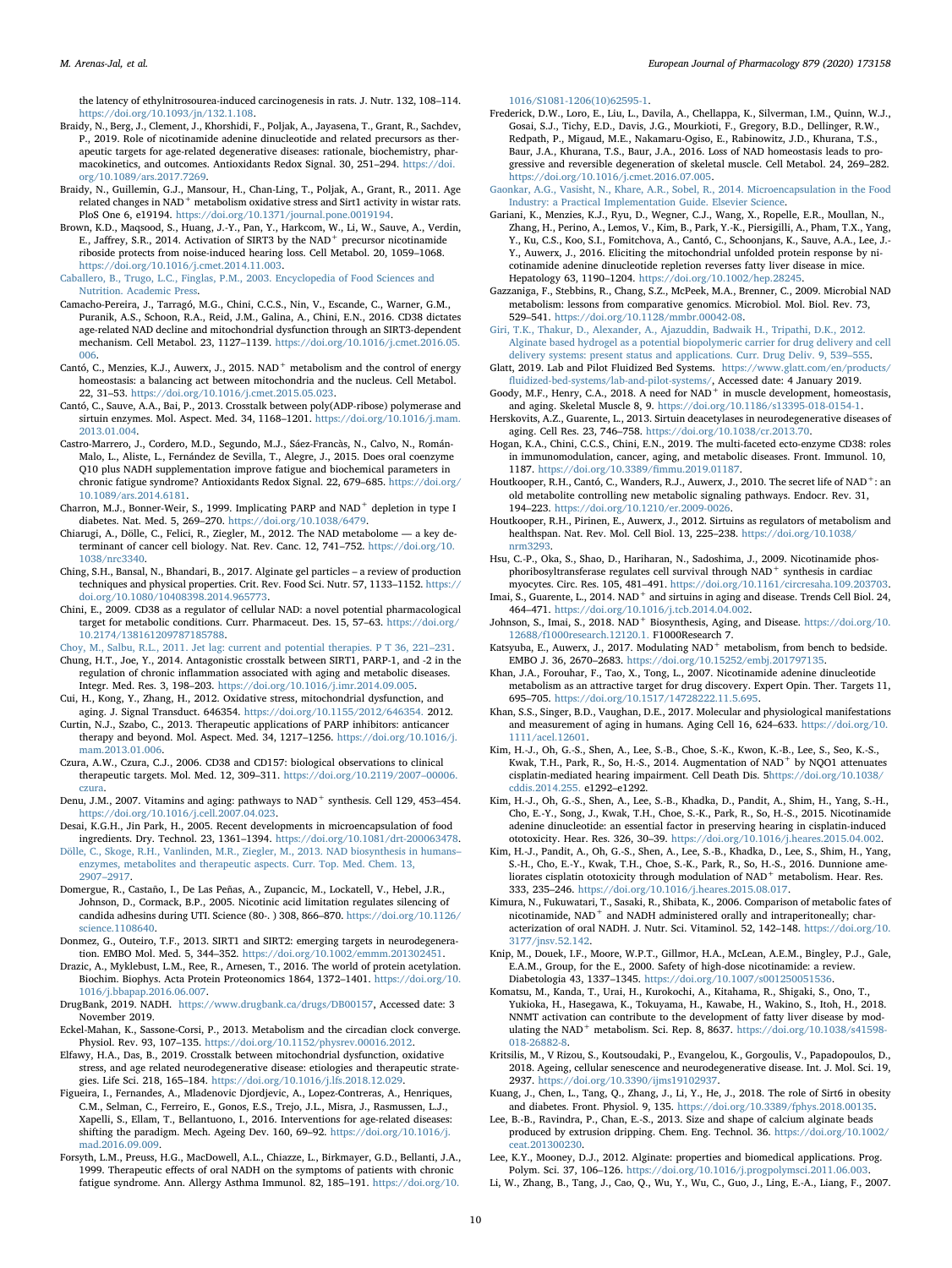the latency of ethylnitrosourea-induced carcinogenesis in rats. J. Nutr. 132, 108–114. [https://doi.org/10.1093/jn/132.1.108.](https://doi.org/10.1093/jn/132.1.108)

- <span id="page-9-14"></span>Braidy, N., Berg, J., Clement, J., Khorshidi, F., Poljak, A., Jayasena, T., Grant, R., Sachdev, P., 2019. Role of nicotinamide adenine dinucleotide and related precursors as therapeutic targets for age-related degenerative diseases: rationale, biochemistry, pharmacokinetics, and outcomes. Antioxidants Redox Signal. 30, 251–294. [https://doi.](https://doi.org/10.1089/ars.2017.7269) [org/10.1089/ars.2017.7269.](https://doi.org/10.1089/ars.2017.7269)
- <span id="page-9-18"></span>Braidy, N., Guillemin, G.J., Mansour, H., Chan-Ling, T., Poljak, A., Grant, R., 2011. Age related changes in NAD<sup>+</sup> metabolism oxidative stress and Sirt1 activity in wistar rats. PloS One 6, e19194. [https://doi.org/10.1371/journal.pone.0019194.](https://doi.org/10.1371/journal.pone.0019194)
- <span id="page-9-32"></span>Brown, K.D., Maqsood, S., Huang, J.-Y., Pan, Y., Harkcom, W., Li, W., Sauve, A., Verdin, E., Jaffrey, S.R., 2014. Activation of SIRT3 by the NAD<sup>+</sup> precursor nicotinamide riboside protects from noise-induced hearing loss. Cell Metabol. 20, 1059–1068. <https://doi.org/10.1016/j.cmet.2014.11.003>.

<span id="page-9-17"></span>[Caballero, B., Trugo, L.C., Finglas, P.M., 2003. Encyclopedia of Food Sciences and](http://refhub.elsevier.com/S0014-2999(20)30250-8/sref22) [Nutrition. Academic Press.](http://refhub.elsevier.com/S0014-2999(20)30250-8/sref22)

- <span id="page-9-11"></span>Camacho-Pereira, J., Tarragó, M.G., Chini, C.C.S., Nin, V., Escande, C., Warner, G.M., Puranik, A.S., Schoon, R.A., Reid, J.M., Galina, A., Chini, E.N., 2016. CD38 dictates age-related NAD decline and mitochondrial dysfunction through an SIRT3-dependent mechanism. Cell Metabol. 23, 1127–1139. [https://doi.org/10.1016/j.cmet.2016.05.](https://doi.org/10.1016/j.cmet.2016.05.006) [006](https://doi.org/10.1016/j.cmet.2016.05.006).
- <span id="page-9-15"></span>Cantó, C., Menzies, K.J., Auwerx, J., 2015. NAD<sup>+</sup> metabolism and the control of energy homeostasis: a balancing act between mitochondria and the nucleus. Cell Metabol. 22, 31–53. [https://doi.org/10.1016/j.cmet.2015.05.023.](https://doi.org/10.1016/j.cmet.2015.05.023)
- <span id="page-9-8"></span>Cantó, C., Sauve, A.A., Bai, P., 2013. Crosstalk between poly(ADP-ribose) polymerase and sirtuin enzymes. Mol. Aspect. Med. 34, 1168–1201. [https://doi.org/10.1016/j.mam.](https://doi.org/10.1016/j.mam.2013.01.004) [2013.01.004](https://doi.org/10.1016/j.mam.2013.01.004).
- <span id="page-9-31"></span>Castro-Marrero, J., Cordero, M.D., Segundo, M.J., Sáez-Francàs, N., Calvo, N., Román-Malo, L., Aliste, L., Fernández de Sevilla, T., Alegre, J., 2015. Does oral coenzyme Q10 plus NADH supplementation improve fatigue and biochemical parameters in chronic fatigue syndrome? Antioxidants Redox Signal. 22, 679–685. [https://doi.org/](https://doi.org/10.1089/ars.2014.6181) [10.1089/ars.2014.6181.](https://doi.org/10.1089/ars.2014.6181)
- <span id="page-9-30"></span>Charron, M.J., Bonner-Weir, S., 1999. Implicating PARP and  $NAD^+$  depletion in type I diabetes. Nat. Med. 5, 269–270. <https://doi.org/10.1038/6479>.
- <span id="page-9-1"></span>Chiarugi, A., Dölle, C., Felici, R., Ziegler, M., 2012. The NAD metabolome — a key determinant of cancer cell biology. Nat. Rev. Canc. 12, 741–752. [https://doi.org/10.](https://doi.org/10.1038/nrc3340) [1038/nrc3340](https://doi.org/10.1038/nrc3340).
- <span id="page-9-54"></span>Ching, S.H., Bansal, N., Bhandari, B., 2017. Alginate gel particles – a review of production techniques and physical properties. Crit. Rev. Food Sci. Nutr. 57, 1133–1152. [https://](https://doi.org/10.1080/10408398.2014.965773) [doi.org/10.1080/10408398.2014.965773](https://doi.org/10.1080/10408398.2014.965773).
- <span id="page-9-12"></span>Chini, E., 2009. CD38 as a regulator of cellular NAD: a novel potential pharmacological target for metabolic conditions. Curr. Pharmaceut. Des. 15, 57–63. [https://doi.org/](https://doi.org/10.2174/138161209787185788) [10.2174/138161209787185788.](https://doi.org/10.2174/138161209787185788)

<span id="page-9-38"></span>[Choy, M., Salbu, R.L., 2011. Jet lag: current and potential therapies. P T 36, 221](http://refhub.elsevier.com/S0014-2999(20)30250-8/sref31)–231.

- <span id="page-9-36"></span>Chung, H.T., Joe, Y., 2014. Antagonistic crosstalk between SIRT1, PARP-1, and -2 in the regulation of chronic inflammation associated with aging and metabolic diseases. Integr. Med. Res. 3, 198–203. <https://doi.org/10.1016/j.imr.2014.09.005>.
- <span id="page-9-19"></span>Cui, H., Kong, Y., Zhang, H., 2012. Oxidative stress, mitochondrial dysfunction, and aging. J. Signal Transduct. 646354. [https://doi.org/10.1155/2012/646354.](https://doi.org/10.1155/2012/646354) 2012.
- <span id="page-9-28"></span>Curtin, N.J., Szabo, C., 2013. Therapeutic applications of PARP inhibitors: anticancer therapy and beyond. Mol. Aspect. Med. 34, 1217–1256. [https://doi.org/10.1016/j.](https://doi.org/10.1016/j.mam.2013.01.006) [mam.2013.01.006](https://doi.org/10.1016/j.mam.2013.01.006).
- <span id="page-9-9"></span>Czura, A.W., Czura, C.J., 2006. CD38 and CD157: biological observations to clinical therapeutic targets. Mol. Med. 12, 309–311. [https://doi.org/10.2119/2007](https://doi.org/10.2119/200700006.czura)–00006. [czura.](https://doi.org/10.2119/200700006.czura)
- <span id="page-9-16"></span>Denu, J.M., 2007. Vitamins and aging: pathways to  $NAD$ <sup>+</sup> synthesis. Cell 129, 453-454. [https://doi.org/10.1016/j.cell.2007.04.023.](https://doi.org/10.1016/j.cell.2007.04.023)
- <span id="page-9-49"></span>Desai, K.G.H., Jin Park, H., 2005. Recent developments in microencapsulation of food ingredients. Dry. Technol. 23, 1361–1394. [https://doi.org/10.1081/drt-200063478.](https://doi.org/10.1081/drt-200063478)
- <span id="page-9-13"></span>[Dölle, C., Skoge, R.H., Vanlinden, M.R., Ziegler, M., 2013. NAD biosynthesis in humans](http://refhub.elsevier.com/S0014-2999(20)30250-8/sref38)– [enzymes, metabolites and therapeutic aspects. Curr. Top. Med. Chem. 13,](http://refhub.elsevier.com/S0014-2999(20)30250-8/sref38) [2907](http://refhub.elsevier.com/S0014-2999(20)30250-8/sref38)–2917.
- <span id="page-9-43"></span>Domergue, R., Castaño, I., De Las Peñas, A., Zupancic, M., Lockatell, V., Hebel, J.R., Johnson, D., Cormack, B.P., 2005. Nicotinic acid limitation regulates silencing of candida adhesins during UTI. Science (80-. ) 308, 866–870. [https://doi.org/10.1126/](https://doi.org/10.1126/science.1108640) [science.1108640.](https://doi.org/10.1126/science.1108640)
- <span id="page-9-25"></span>Donmez, G., Outeiro, T.F., 2013. SIRT1 and SIRT2: emerging targets in neurodegeneration. EMBO Mol. Med. 5, 344–352. <https://doi.org/10.1002/emmm.201302451>.
- <span id="page-9-7"></span>Drazic, A., Myklebust, L.M., Ree, R., Arnesen, T., 2016. The world of protein acetylation. Biochim. Biophys. Acta Protein Proteonomics 1864, 1372–1401. [https://doi.org/10.](https://doi.org/10.1016/j.bbapap.2016.06.007) [1016/j.bbapap.2016.06.007](https://doi.org/10.1016/j.bbapap.2016.06.007).
- <span id="page-9-3"></span>DrugBank, 2019. NADH. [https://www.drugbank.ca/drugs/DB00157,](https://www.drugbank.ca/drugs/DB00157) Accessed date: 3 November 2019.
- <span id="page-9-39"></span>Eckel-Mahan, K., Sassone-Corsi, P., 2013. Metabolism and the circadian clock converge. Physiol. Rev. 93, 107–135. <https://doi.org/10.1152/physrev.00016.2012>.
- <span id="page-9-24"></span>Elfawy, H.A., Das, B., 2019. Crosstalk between mitochondrial dysfunction, oxidative stress, and age related neurodegenerative disease: etiologies and therapeutic strategies. Life Sci. 218, 165–184. <https://doi.org/10.1016/j.lfs.2018.12.029>.
- <span id="page-9-20"></span>Figueira, I., Fernandes, A., Mladenovic Djordjevic, A., Lopez-Contreras, A., Henriques, C.M., Selman, C., Ferreiro, E., Gonos, E.S., Trejo, J.L., Misra, J., Rasmussen, L.J., Xapelli, S., Ellam, T., Bellantuono, I., 2016. Interventions for age-related diseases: shifting the paradigm. Mech. Ageing Dev. 160, 69–92. [https://doi.org/10.1016/j.](https://doi.org/10.1016/j.mad.2016.09.009) [mad.2016.09.009](https://doi.org/10.1016/j.mad.2016.09.009).
- <span id="page-9-48"></span>Forsyth, L.M., Preuss, H.G., MacDowell, A.L., Chiazze, L., Birkmayer, G.D., Bellanti, J.A., 1999. Therapeutic effects of oral NADH on the symptoms of patients with chronic fatigue syndrome. Ann. Allergy Asthma Immunol. 82, 185–191. [https://doi.org/10.](https://doi.org/10.1016/S1081-1206(10)62595-1)

[1016/S1081-1206\(10\)62595-1.](https://doi.org/10.1016/S1081-1206(10)62595-1)

<span id="page-9-45"></span>Frederick, D.W., Loro, E., Liu, L., Davila, A., Chellappa, K., Silverman, I.M., Quinn, W.J., Gosai, S.J., Tichy, E.D., Davis, J.G., Mourkioti, F., Gregory, B.D., Dellinger, R.W., Redpath, P., Migaud, M.E., Nakamaru-Ogiso, E., Rabinowitz, J.D., Khurana, T.S., Baur, J.A., Khurana, T.S., Baur, J.A., 2016. Loss of NAD homeostasis leads to progressive and reversible degeneration of skeletal muscle. Cell Metabol. 24, 269–282. <https://doi.org/10.1016/j.cmet.2016.07.005>.

<span id="page-9-52"></span>[Gaonkar, A.G., Vasisht, N., Khare, A.R., Sobel, R., 2014. Microencapsulation in the Food](http://refhub.elsevier.com/S0014-2999(20)30250-8/sref48) [Industry: a Practical Implementation Guide. Elsevier Science](http://refhub.elsevier.com/S0014-2999(20)30250-8/sref48).

- <span id="page-9-40"></span>Gariani, K., Menzies, K.J., Ryu, D., Wegner, C.J., Wang, X., Ropelle, E.R., Moullan, N., Zhang, H., Perino, A., Lemos, V., Kim, B., Park, Y.-K., Piersigilli, A., Pham, T.X., Yang, Y., Ku, C.S., Koo, S.I., Fomitchova, A., Cantó, C., Schoonjans, K., Sauve, A.A., Lee, J.- Y., Auwerx, J., 2016. Eliciting the mitochondrial unfolded protein response by nicotinamide adenine dinucleotide repletion reverses fatty liver disease in mice. Hepatology 63, 1190–1204. [https://doi.org/10.1002/hep.28245.](https://doi.org/10.1002/hep.28245)
- <span id="page-9-42"></span>Gazzaniga, F., Stebbins, R., Chang, S.Z., McPeek, M.A., Brenner, C., 2009. Microbial NAD metabolism: lessons from comparative genomics. Microbiol. Mol. Biol. Rev. 73, 529–541. [https://doi.org/10.1128/mmbr.00042-08.](https://doi.org/10.1128/mmbr.00042-08)

<span id="page-9-51"></span>Giri, [T.K., Thakur, D., Alexander, A., Ajazuddin, Badwaik H., Tripathi, D.K., 2012.](http://refhub.elsevier.com/S0014-2999(20)30250-8/sref51) [Alginate based hydrogel as a potential biopolymeric carrier for drug delivery and cell](http://refhub.elsevier.com/S0014-2999(20)30250-8/sref51) [delivery systems: present status and applications. Curr. Drug Deliv. 9, 539](http://refhub.elsevier.com/S0014-2999(20)30250-8/sref51)–555.

<span id="page-9-50"></span>Glatt, 2019. Lab and Pilot Fluidized Bed Systems. [https://www.glatt.com/en/products/](https://www.glatt.com/en/products/fluidized-bed-systems/lab-and-pilot-systems/) fl[uidized-bed-systems/lab-and-pilot-systems/,](https://www.glatt.com/en/products/fluidized-bed-systems/lab-and-pilot-systems/) Accessed date: 4 January 2019. Goody, M.F., Henry, C.A., 2018. A need for NAD<sup>+</sup> in muscle development, homeostasis,

- <span id="page-9-44"></span>and aging. Skeletal Muscle 8, 9. [https://doi.org/10.1186/s13395-018-0154-1.](https://doi.org/10.1186/s13395-018-0154-1) Herskovits, A.Z., Guarente, L., 2013. Sirtuin deacetylases in neurodegenerative diseases of
- <span id="page-9-26"></span>aging. Cell Res. 23, 746–758. [https://doi.org/10.1038/cr.2013.70.](https://doi.org/10.1038/cr.2013.70) Hogan, K.A., Chini, C.C.S., Chini, E.N., 2019. The multi-faceted ecto-enzyme CD38: roles
- <span id="page-9-10"></span>in immunomodulation, cancer, aging, and metabolic diseases. Front. Immunol. 10, 1187. [https://doi.org/10.3389/](https://doi.org/10.3389/fimmu.2019.01187)fimmu.2019.01187.
- <span id="page-9-0"></span>Houtkooper, R.H., Cantó, C., Wanders, R.J., Auwerx, J., 2010. The secret life of NAD<sup>+</sup>: an old metabolite controlling new metabolic signaling pathways. Endocr. Rev. 31, 194–223. <https://doi.org/10.1210/er.2009-0026>.
- <span id="page-9-6"></span>Houtkooper, R.H., Pirinen, E., Auwerx, J., 2012. Sirtuins as regulators of metabolism and healthspan. Nat. Rev. Mol. Cell Biol. 13, 225–238. [https://doi.org/10.1038/](https://doi.org/10.1038/nrm3293) [nrm3293](https://doi.org/10.1038/nrm3293).
- <span id="page-9-37"></span>Hsu, C.-P., Oka, S., Shao, D., Hariharan, N., Sadoshima, J., 2009. Nicotinamide phosphoribosyltransferase regulates cell survival through NAD<sup>+</sup> synthesis in cardiac myocytes. Circ. Res. 105, 481–491. [https://doi.org/10.1161/circresaha.109.203703.](https://doi.org/10.1161/circresaha.109.203703)
- <span id="page-9-22"></span>Imai, S., Guarente, L., 2014. NAD<sup>+</sup> and sirtuins in aging and disease. Trends Cell Biol. 24, 464–471. [https://doi.org/10.1016/j.tcb.2014.04.002.](https://doi.org/10.1016/j.tcb.2014.04.002)
- <span id="page-9-4"></span>Johnson, S., Imai, S., 2018. NAD<sup>+</sup> Biosynthesis, Aging, and Disease. [https://doi.org/10.](https://doi.org/10.12688/f1000research.12120.1) [12688/f1000research.12120.1.](https://doi.org/10.12688/f1000research.12120.1) F1000Research 7.
- <span id="page-9-5"></span>Katsyuba, E., Auwerx, J., 2017. Modulating  $\mathrm{NAD}^+$  metabolism, from bench to bedside.
- <span id="page-9-2"></span>EMBO J. 36, 2670–2683. [https://doi.org/10.15252/embj.201797135.](https://doi.org/10.15252/embj.201797135) Khan, J.A., Forouhar, F., Tao, X., Tong, L., 2007. Nicotinamide adenine dinucleotide metabolism as an attractive target for drug discovery. Expert Opin. Ther. Targets 11, 695–705. [https://doi.org/10.1517/14728222.11.5.695.](https://doi.org/10.1517/14728222.11.5.695)
- <span id="page-9-21"></span>Khan, S.S., Singer, B.D., Vaughan, D.E., 2017. Molecular and physiological manifestations and measurement of aging in humans. Aging Cell 16, 624–633. [https://doi.org/10.](https://doi.org/10.1111/acel.12601) [1111/acel.12601](https://doi.org/10.1111/acel.12601).
- <span id="page-9-33"></span>Kim, H.-J., Oh, G.-S., Shen, A., Lee, S.-B., Choe, S.-K., Kwon, K.-B., Lee, S., Seo, K.-S., Kwak, T.H., Park, R., So, H.-S., 2014. Augmentation of NAD<sup>+</sup> by NQO1 attenuates cisplatin-mediated hearing impairment. Cell Death Dis. [5https://doi.org/10.1038/](https://doi.org/10.1038/cddis.2014.255) [cddis.2014.255.](https://doi.org/10.1038/cddis.2014.255) e1292–e1292.
- <span id="page-9-35"></span>Kim, H.-J., Oh, G.-S., Shen, A., Lee, S.-B., Khadka, D., Pandit, A., Shim, H., Yang, S.-H., Cho, E.-Y., Song, J., Kwak, T.H., Choe, S.-K., Park, R., So, H.-S., 2015. Nicotinamide adenine dinucleotide: an essential factor in preserving hearing in cisplatin-induced ototoxicity. Hear. Res. 326, 30–39. <https://doi.org/10.1016/j.heares.2015.04.002>.
- <span id="page-9-34"></span>Kim, H.-J., Pandit, A., Oh, G.-S., Shen, A., Lee, S.-B., Khadka, D., Lee, S., Shim, H., Yang, S.-H., Cho, E.-Y., Kwak, T.H., Choe, S.-K., Park, R., So, H.-S., 2016. Dunnione ameliorates cisplatin ototoxicity through modulation of NAD<sup>+</sup> metabolism. Hear. Res. 333, 235–246. <https://doi.org/10.1016/j.heares.2015.08.017>.
- <span id="page-9-46"></span>Kimura, N., Fukuwatari, T., Sasaki, R., Shibata, K., 2006. Comparison of metabolic fates of nicotinamide, NAD<sup>+</sup> and NADH administered orally and intraperitoneally; characterization of oral NADH. J. Nutr. Sci. Vitaminol. 52, 142–148. [https://doi.org/10.](https://doi.org/10.3177/jnsv.52.142) [3177/jnsv.52.142.](https://doi.org/10.3177/jnsv.52.142)
- <span id="page-9-47"></span>Knip, M., Douek, I.F., Moore, W.P.T., Gillmor, H.A., McLean, A.E.M., Bingley, P.J., Gale, E.A.M., Group, for the E., 2000. Safety of high-dose nicotinamide: a review. Diabetologia 43, 1337–1345. [https://doi.org/10.1007/s001250051536.](https://doi.org/10.1007/s001250051536)
- <span id="page-9-41"></span>Komatsu, M., Kanda, T., Urai, H., Kurokochi, A., Kitahama, R., Shigaki, S., Ono, T., Yukioka, H., Hasegawa, K., Tokuyama, H., Kawabe, H., Wakino, S., Itoh, H., 2018. NNMT activation can contribute to the development of fatty liver disease by modulating the NAD<sup>+</sup> metabolism. Sci. Rep. 8, 8637. [https://doi.org/10.1038/s41598-](https://doi.org/10.1038/s41598-018-26882-8) [018-26882-8.](https://doi.org/10.1038/s41598-018-26882-8)
- <span id="page-9-23"></span>Kritsilis, M., V Rizou, S., Koutsoudaki, P., Evangelou, K., Gorgoulis, V., Papadopoulos, D., 2018. Ageing, cellular senescence and neurodegenerative disease. Int. J. Mol. Sci. 19, 2937. <https://doi.org/10.3390/ijms19102937>.
- <span id="page-9-29"></span>Kuang, J., Chen, L., Tang, Q., Zhang, J., Li, Y., He, J., 2018. The role of Sirt6 in obesity and diabetes. Front. Physiol. 9, 135. [https://doi.org/10.3389/fphys.2018.00135.](https://doi.org/10.3389/fphys.2018.00135)
- <span id="page-9-55"></span>Lee, B.-B., Ravindra, P., Chan, E.-S., 2013. Size and shape of calcium alginate beads produced by extrusion dripping. Chem. Eng. Technol. 36. [https://doi.org/10.1002/](https://doi.org/10.1002/ceat.201300230) [ceat.201300230](https://doi.org/10.1002/ceat.201300230).
- <span id="page-9-53"></span>Lee, K.Y., Mooney, D.J., 2012. Alginate: properties and biomedical applications. Prog. Polym. Sci. 37, 106–126. <https://doi.org/10.1016/j.progpolymsci.2011.06.003>.
- <span id="page-9-27"></span>Li, W., Zhang, B., Tang, J., Cao, Q., Wu, Y., Wu, C., Guo, J., Ling, E.-A., Liang, F., 2007.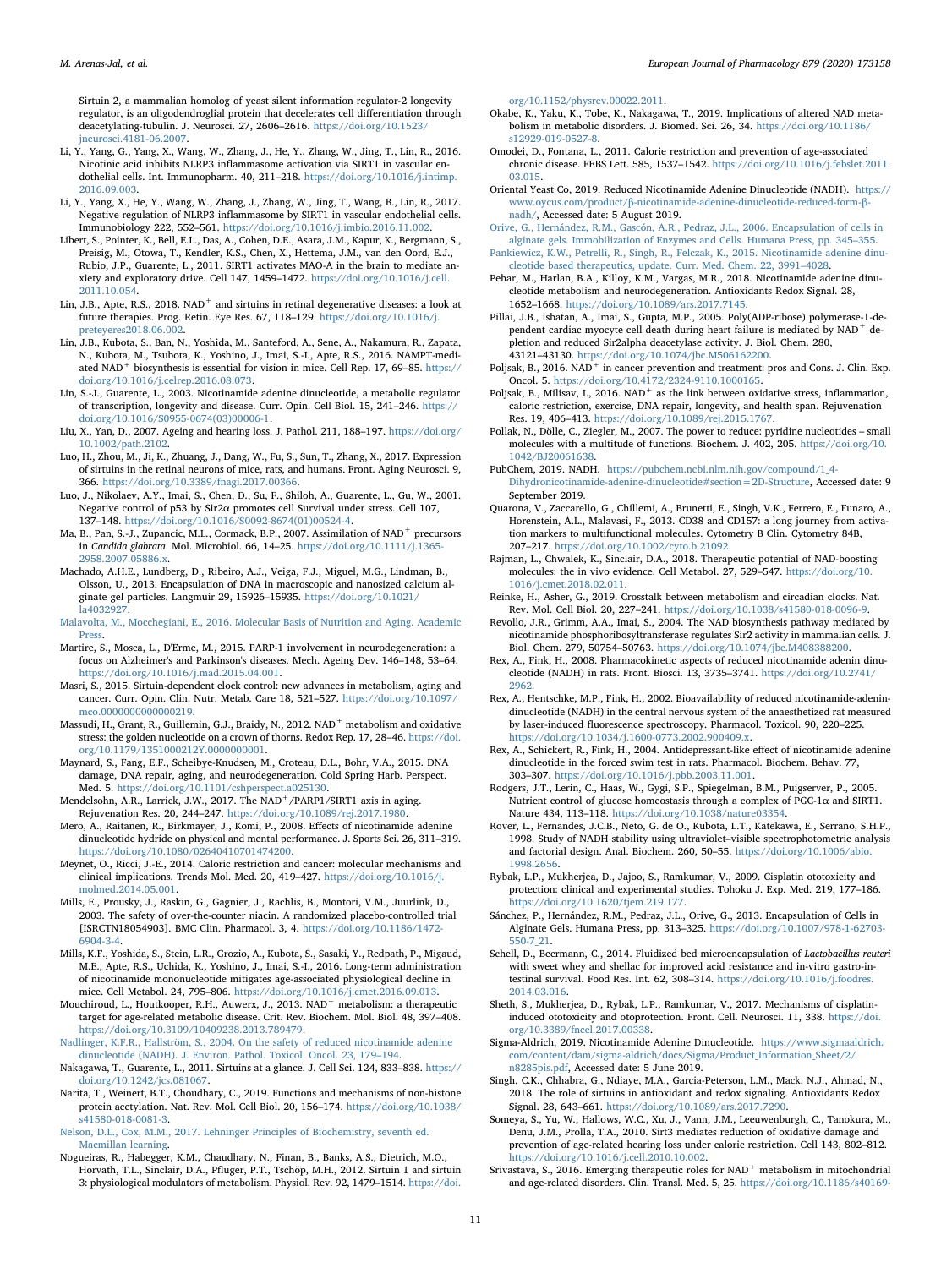Sirtuin 2, a mammalian homolog of yeast silent information regulator-2 longevity regulator, is an oligodendroglial protein that decelerates cell differentiation through deacetylating-tubulin. J. Neurosci. 27, 2606-2616. https://doi.org/10.1523. [jneurosci.4181-06.2007.](https://doi.org/10.1523/jneurosci.4181-06.2007)

- <span id="page-10-30"></span>Li, Y., Yang, G., Yang, X., Wang, W., Zhang, J., He, Y., Zhang, W., Jing, T., Lin, R., 2016. Nicotinic acid inhibits NLRP3 inflammasome activation via SIRT1 in vascular endothelial cells. Int. Immunopharm. 40, 211-218. [https://doi.org/10.1016/j.intimp.](https://doi.org/10.1016/j.intimp.2016.09.003) [2016.09.003](https://doi.org/10.1016/j.intimp.2016.09.003).
- <span id="page-10-29"></span>Li, Y., Yang, X., He, Y., Wang, W., Zhang, J., Zhang, W., Jing, T., Wang, B., Lin, R., 2017. Negative regulation of NLRP3 inflammasome by SIRT1 in vascular endothelial cells. Immunobiology 222, 552–561. <https://doi.org/10.1016/j.imbio.2016.11.002>.
- <span id="page-10-42"></span>Libert, S., Pointer, K., Bell, E.L., Das, A., Cohen, D.E., Asara, J.M., Kapur, K., Bergmann, S., Preisig, M., Otowa, T., Kendler, K.S., Chen, X., Hettema, J.M., van den Oord, E.J., Rubio, J.P., Guarente, L., 2011. SIRT1 activates MAO-A in the brain to mediate anxiety and exploratory drive. Cell 147, 1459–1472. [https://doi.org/10.1016/j.cell.](https://doi.org/10.1016/j.cell.2011.10.054) [2011.10.054](https://doi.org/10.1016/j.cell.2011.10.054).
- <span id="page-10-35"></span>Lin, J.B., Apte, R.S., 2018. NAD<sup>+</sup> and sirtuins in retinal degenerative diseases: a look at future therapies. Prog. Retin. Eye Res. 67, 118–129. [https://doi.org/10.1016/j.](https://doi.org/10.1016/j.preteyeres2018.06.002) [preteyeres2018.06.002.](https://doi.org/10.1016/j.preteyeres2018.06.002)
- <span id="page-10-37"></span>Lin, J.B., Kubota, S., Ban, N., Yoshida, M., Santeford, A., Sene, A., Nakamura, R., Zapata, N., Kubota, M., Tsubota, K., Yoshino, J., Imai, S.-I., Apte, R.S., 2016. NAMPT-mediated NAD<sup>+</sup> biosynthesis is essential for vision in mice. Cell Rep. 17, 69–85. [https://](https://doi.org/10.1016/j.celrep.2016.08.073) [doi.org/10.1016/j.celrep.2016.08.073.](https://doi.org/10.1016/j.celrep.2016.08.073)
- <span id="page-10-3"></span>Lin, S.-J., Guarente, L., 2003. Nicotinamide adenine dinucleotide, a metabolic regulator of transcription, longevity and disease. Curr. Opin. Cell Biol. 15, 241–246. [https://](https://doi.org/10.1016/S0955-0674(03)00006-1) [doi.org/10.1016/S0955-0674\(03\)00006-1.](https://doi.org/10.1016/S0955-0674(03)00006-1)
- <span id="page-10-31"></span>Liu, X., Yan, D., 2007. Ageing and hearing loss. J. Pathol. 211, 188–197. [https://doi.org/](https://doi.org/10.1002/path.2102) [10.1002/path.2102.](https://doi.org/10.1002/path.2102)
- <span id="page-10-36"></span>Luo, H., Zhou, M., Ji, K., Zhuang, J., Dang, W., Fu, S., Sun, T., Zhang, X., 2017. Expression of sirtuins in the retinal neurons of mice, rats, and humans. Front. Aging Neurosci. 9, 366. <https://doi.org/10.3389/fnagi.2017.00366>.
- <span id="page-10-18"></span>Luo, J., Nikolaev, A.Y., Imai, S., Chen, D., Su, F., Shiloh, A., Guarente, L., Gu, W., 2001. Negative control of p53 by Sir2α promotes cell Survival under stress. Cell 107, 137–148. [https://doi.org/10.1016/S0092-8674\(01\)00524-4.](https://doi.org/10.1016/S0092-8674(01)00524-4)
- <span id="page-10-44"></span>Ma, B., Pan, S.-J., Zupancic, M.L., Cormack, B.P., 2007. Assimilation of NAD<sup>+</sup> precursors in Candida glabrata. Mol. Microbiol. 66, 14–25. [https://doi.org/10.1111/j.1365-](https://doi.org/10.1111/j.1365-2958.2007.05886.x) [2958.2007.05886.x.](https://doi.org/10.1111/j.1365-2958.2007.05886.x)
- <span id="page-10-50"></span>Machado, A.H.E., Lundberg, D., Ribeiro, A.J., Veiga, F.J., Miguel, M.G., Lindman, B., Olsson, U., 2013. Encapsulation of DNA in macroscopic and nanosized calcium alginate gel particles. Langmuir 29, 15926–15935. [https://doi.org/10.1021/](https://doi.org/10.1021/la4032927) [la4032927.](https://doi.org/10.1021/la4032927)
- <span id="page-10-16"></span>[Malavolta, M., Mocchegiani, E., 2016. Molecular Basis of Nutrition and Aging. Academic](http://refhub.elsevier.com/S0014-2999(20)30250-8/sref86) **Press**
- <span id="page-10-22"></span>Martire, S., Mosca, L., D'Erme, M., 2015. PARP-1 involvement in neurodegeneration: a focus on Alzheimer's and Parkinson's diseases. Mech. Ageing Dev. 146–148, 53–64. [https://doi.org/10.1016/j.mad.2015.04.001.](https://doi.org/10.1016/j.mad.2015.04.001)
- <span id="page-10-21"></span>Masri, S., 2015. Sirtuin-dependent clock control: new advances in metabolism, aging and cancer. Curr. Opin. Clin. Nutr. Metab. Care 18, 521–527. [https://doi.org/10.1097/](https://doi.org/10.1097/mco.0000000000000219) mco.000000000000000219
- <span id="page-10-27"></span>Massudi, H., Grant, R., Guillemin, G.J., Braidy, N., 2012. NAD<sup>+</sup> metabolism and oxidative stress: the golden nucleotide on a crown of thorns. Redox Rep. 17, 28–46. [https://doi.](https://doi.org/10.1179/1351000212Y.0000000001) [org/10.1179/1351000212Y.0000000001.](https://doi.org/10.1179/1351000212Y.0000000001)
- <span id="page-10-19"></span>Maynard, S., Fang, E.F., Scheibye-Knudsen, M., Croteau, D.L., Bohr, V.A., 2015. DNA damage, DNA repair, aging, and neurodegeneration. Cold Spring Harb. Perspect. Med. 5. <https://doi.org/10.1101/cshperspect.a025130>.
- <span id="page-10-20"></span>Mendelsohn, A.R., Larrick, J.W., 2017. The NAD<sup>+</sup>/PARP1/SIRT1 axis in aging. Rejuvenation Res. 20, 244–247. [https://doi.org/10.1089/rej.2017.1980.](https://doi.org/10.1089/rej.2017.1980)
- <span id="page-10-6"></span>Mero, A., Raitanen, R., Birkmayer, J., Komi, P., 2008. Effects of nicotinamide adenine dinucleotide hydride on physical and mental performance. J. Sports Sci. 26, 311–319. <https://doi.org/10.1080/02640410701474200>.
- <span id="page-10-24"></span>Meynet, O., Ricci, J.-E., 2014. Caloric restriction and cancer: molecular mechanisms and clinical implications. Trends Mol. Med. 20, 419–427. [https://doi.org/10.1016/j.](https://doi.org/10.1016/j.molmed.2014.05.001) [molmed.2014.05.001](https://doi.org/10.1016/j.molmed.2014.05.001).
- <span id="page-10-47"></span>Mills, E., Prousky, J., Raskin, G., Gagnier, J., Rachlis, B., Montori, V.M., Juurlink, D., 2003. The safety of over-the-counter niacin. A randomized placebo-controlled trial [ISRCTN18054903]. BMC Clin. Pharmacol. 3, 4. [https://doi.org/10.1186/1472-](https://doi.org/10.1186/1472-6904-3-4) [6904-3-4](https://doi.org/10.1186/1472-6904-3-4).
- <span id="page-10-38"></span>Mills, K.F., Yoshida, S., Stein, L.R., Grozio, A., Kubota, S., Sasaki, Y., Redpath, P., Migaud, M.E., Apte, R.S., Uchida, K., Yoshino, J., Imai, S.-I., 2016. Long-term administration of nicotinamide mononucleotide mitigates age-associated physiological decline in mice. Cell Metabol. 24, 795–806. <https://doi.org/10.1016/j.cmet.2016.09.013>.
- <span id="page-10-10"></span>Mouchiroud, L., Houtkooper, R.H., Auwerx, J., 2013. NAD<sup>+</sup> metabolism: a therapeutic target for age-related metabolic disease. Crit. Rev. Biochem. Mol. Biol. 48, 397–408. [https://doi.org/10.3109/10409238.2013.789479.](https://doi.org/10.3109/10409238.2013.789479)
- <span id="page-10-48"></span>[Nadlinger, K.F.R., Hallström, S., 2004. On the safety of reduced nicotinamide adenine](http://refhub.elsevier.com/S0014-2999(20)30250-8/sref97) [dinucleotide \(NADH\). J. Environ. Pathol. Toxicol. Oncol. 23, 179](http://refhub.elsevier.com/S0014-2999(20)30250-8/sref97)–194.
- <span id="page-10-8"></span>Nakagawa, T., Guarente, L., 2011. Sirtuins at a glance. J. Cell Sci. 124, 833–838. [https://](https://doi.org/10.1242/jcs.081067) [doi.org/10.1242/jcs.081067.](https://doi.org/10.1242/jcs.081067)
- <span id="page-10-9"></span>Narita, T., Weinert, B.T., Choudhary, C., 2019. Functions and mechanisms of non-histone protein acetylation. Nat. Rev. Mol. Cell Biol. 20, 156–174. [https://doi.org/10.1038/](https://doi.org/10.1038/s41580-018-0081-3) [s41580-018-0081-3.](https://doi.org/10.1038/s41580-018-0081-3)

<span id="page-10-0"></span>[Nelson, D.L., Cox, M.M., 2017. Lehninger Principles of Biochemistry, seventh ed.](http://refhub.elsevier.com/S0014-2999(20)30250-8/sref100) [Macmillan learning.](http://refhub.elsevier.com/S0014-2999(20)30250-8/sref100)

<span id="page-10-26"></span>Nogueiras, R., Habegger, K.M., Chaudhary, N., Finan, B., Banks, A.S., Dietrich, M.O., Horvath, T.L., Sinclair, D.A., Pfluger, P.T., Tschöp, M.H., 2012. Sirtuin 1 and sirtuin 3: physiological modulators of metabolism. Physiol. Rev. 92, 1479–1514. [https://doi.](https://doi.org/10.1152/physrev.00022.2011)

[org/10.1152/physrev.00022.2011](https://doi.org/10.1152/physrev.00022.2011).

- <span id="page-10-14"></span>Okabe, K., Yaku, K., Tobe, K., Nakagawa, T., 2019. Implications of altered NAD metabolism in metabolic disorders. J. Biomed. Sci. 26, 34. [https://doi.org/10.1186/](https://doi.org/10.1186/s12929-019-0527-8) [s12929-019-0527-8.](https://doi.org/10.1186/s12929-019-0527-8)
- <span id="page-10-17"></span>Omodei, D., Fontana, L., 2011. Calorie restriction and prevention of age-associated chronic disease. FEBS Lett. 585, 1537–1542. [https://doi.org/10.1016/j.febslet.2011.](https://doi.org/10.1016/j.febslet.2011.03.015) [03.015](https://doi.org/10.1016/j.febslet.2011.03.015).
- <span id="page-10-52"></span>Oriental Yeast Co, 2019. Reduced Nicotinamide Adenine Dinucleotide (NADH). [https://](https://www.oycus.com/product/�-nicotinamide-adenine-dinucleotide-reduced-form-�-nadh/) www.oycus.com/product/β[-nicotinamide-adenine-dinucleotide-reduced-form-](https://www.oycus.com/product/�-nicotinamide-adenine-dinucleotide-reduced-form-�-nadh/)β[nadh/,](https://www.oycus.com/product/�-nicotinamide-adenine-dinucleotide-reduced-form-�-nadh/) Accessed date: 5 August 2019.
- <span id="page-10-54"></span>[Orive, G., Hernández, R.M., Gascón, A.R., Pedraz, J.L., 2006. Encapsulation of cells in](http://refhub.elsevier.com/S0014-2999(20)30250-8/sref105) [alginate gels. Immobilization of Enzymes and Cells. Humana Press, pp. 345](http://refhub.elsevier.com/S0014-2999(20)30250-8/sref105)–355.
- <span id="page-10-5"></span>[Pankiewicz, K.W., Petrelli, R., Singh, R., Felczak, K., 2015. Nicotinamide adenine dinu](http://refhub.elsevier.com/S0014-2999(20)30250-8/sref106)[cleotide based therapeutics, update. Curr. Med. Chem. 22, 3991](http://refhub.elsevier.com/S0014-2999(20)30250-8/sref106)–4028.
- <span id="page-10-4"></span>Pehar, M., Harlan, B.A., Killoy, K.M., Vargas, M.R., 2018. Nicotinamide adenine dinucleotide metabolism and neurodegeneration. Antioxidants Redox Signal. 28, 1652–1668. [https://doi.org/10.1089/ars.2017.7145.](https://doi.org/10.1089/ars.2017.7145)
- <span id="page-10-39"></span>Pillai, J.B., Isbatan, A., Imai, S., Gupta, M.P., 2005. Poly(ADP-ribose) polymerase-1-dependent cardiac myocyte cell death during heart failure is mediated by NAD<sup>+</sup> depletion and reduced Sir2alpha deacetylase activity. J. Biol. Chem. 280, 43121–43130. <https://doi.org/10.1074/jbc.M506162200>.
- <span id="page-10-23"></span>Poljsak, B., 2016. NAD<sup>+</sup> in cancer prevention and treatment: pros and Cons. J. Clin. Exp. Oncol. 5. <https://doi.org/10.4172/2324-9110.1000165>.
- <span id="page-10-13"></span>Poljsak, B., Milisav, I., 2016. NAD<sup>+</sup> as the link between oxidative stress, inflammation, caloric restriction, exercise, DNA repair, longevity, and health span. Rejuvenation Res. 19, 406–413. [https://doi.org/10.1089/rej.2015.1767.](https://doi.org/10.1089/rej.2015.1767)
- <span id="page-10-2"></span>Pollak, N., Dölle, C., Ziegler, M., 2007. The power to reduce: pyridine nucleotides – small molecules with a multitude of functions. Biochem. J. 402, 205. [https://doi.org/10.](https://doi.org/10.1042/BJ20061638) [1042/BJ20061638.](https://doi.org/10.1042/BJ20061638)
- <span id="page-10-1"></span>PubChem, 2019. NADH. [https://pubchem.ncbi.nlm.nih.gov/compound/1\\_4-](https://pubchem.ncbi.nlm.nih.gov/compound/1_4-Dihydronicotinamide-adenine-dinucleotide#section=2D-Structure) [Dihydronicotinamide-adenine-dinucleotide#section=2D-Structure,](https://pubchem.ncbi.nlm.nih.gov/compound/1_4-Dihydronicotinamide-adenine-dinucleotide#section=2D-Structure) Accessed date: 9 September 2019.
- <span id="page-10-11"></span>Quarona, V., Zaccarello, G., Chillemi, A., Brunetti, E., Singh, V.K., Ferrero, E., Funaro, A., Horenstein, A.L., Malavasi, F., 2013. CD38 and CD157: a long journey from activation markers to multifunctional molecules. Cytometry B Clin. Cytometry 84B, 207–217. <https://doi.org/10.1002/cyto.b.21092>.
- <span id="page-10-40"></span>Rajman, L., Chwalek, K., Sinclair, D.A., 2018. Therapeutic potential of NAD-boosting molecules: the in vivo evidence. Cell Metabol. 27, 529–547. [https://doi.org/10.](https://doi.org/10.1016/j.cmet.2018.02.011) [1016/j.cmet.2018.02.011](https://doi.org/10.1016/j.cmet.2018.02.011).
- <span id="page-10-41"></span>Reinke, H., Asher, G., 2019. Crosstalk between metabolism and circadian clocks. Nat. Rev. Mol. Cell Biol. 20, 227–241. [https://doi.org/10.1038/s41580-018-0096-9.](https://doi.org/10.1038/s41580-018-0096-9)
- <span id="page-10-12"></span>Revollo, J.R., Grimm, A.A., Imai, S., 2004. The NAD biosynthesis pathway mediated by nicotinamide phosphoribosyltransferase regulates Sir2 activity in mammalian cells. J. Biol. Chem. 279, 50754–50763. <https://doi.org/10.1074/jbc.M408388200>.
- <span id="page-10-46"></span>Rex, A., Fink, H., 2008. Pharmacokinetic aspects of reduced nicotinamide adenin dinucleotide (NADH) in rats. Front. Biosci. 13, 3735–3741. [https://doi.org/10.2741/](https://doi.org/10.2741/2962) [2962.](https://doi.org/10.2741/2962)
- <span id="page-10-45"></span>Rex, A., Hentschke, M.P., Fink, H., 2002. Bioavailability of reduced nicotinamide-adenindinucleotide (NADH) in the central nervous system of the anaesthetized rat measured by laser-induced fluorescence spectroscopy. Pharmacol. Toxicol. 90, 220–225. <https://doi.org/10.1034/j.1600-0773.2002.900409.x>.
- <span id="page-10-43"></span>Rex, A., Schickert, R., Fink, H., 2004. Antidepressant-like effect of nicotinamide adenine dinucleotide in the forced swim test in rats. Pharmacol. Biochem. Behav. 77, 303–307. [https://doi.org/10.1016/j.pbb.2003.11.001.](https://doi.org/10.1016/j.pbb.2003.11.001)
- <span id="page-10-25"></span>Rodgers, J.T., Lerin, C., Haas, W., Gygi, S.P., Spiegelman, B.M., Puigserver, P., 2005. Nutrient control of glucose homeostasis through a complex of PGC-1α and SIRT1. Nature 434, 113–118. <https://doi.org/10.1038/nature03354>.
- <span id="page-10-7"></span>Rover, L., Fernandes, J.C.B., Neto, G. de O., Kubota, L.T., Katekawa, E., Serrano, S.H.P., 1998. Study of NADH stability using ultraviolet–visible spectrophotometric analysis and factorial design. Anal. Biochem. 260, 50–55. [https://doi.org/10.1006/abio.](https://doi.org/10.1006/abio.1998.2656) [1998.2656](https://doi.org/10.1006/abio.1998.2656).
- <span id="page-10-33"></span>Rybak, L.P., Mukherjea, D., Jajoo, S., Ramkumar, V., 2009. Cisplatin ototoxicity and protection: clinical and experimental studies. Tohoku J. Exp. Med. 219, 177–186. <https://doi.org/10.1620/tjem.219.177>.
- <span id="page-10-53"></span>Sánchez, P., Hernández, R.M., Pedraz, J.L., Orive, G., 2013. Encapsulation of Cells in Alginate Gels. Humana Press, pp. 313–325. [https://doi.org/10.1007/978-1-62703-](https://doi.org/10.1007/978-1-62703-550-7_21) [550-7\\_21](https://doi.org/10.1007/978-1-62703-550-7_21).
- <span id="page-10-51"></span>Schell, D., Beermann, C., 2014. Fluidized bed microencapsulation of Lactobacillus reuteri with sweet whey and shellac for improved acid resistance and in-vitro gastro-intestinal survival. Food Res. Int. 62, 308–314. [https://doi.org/10.1016/j.foodres.](https://doi.org/10.1016/j.foodres.2014.03.016) [2014.03.016](https://doi.org/10.1016/j.foodres.2014.03.016).
- <span id="page-10-34"></span>Sheth, S., Mukherjea, D., Rybak, L.P., Ramkumar, V., 2017. Mechanisms of cisplatininduced ototoxicity and otoprotection. Front. Cell. Neurosci. 11, 338. [https://doi.](https://doi.org/10.3389/fncel.2017.00338) [org/10.3389/fncel.2017.00338.](https://doi.org/10.3389/fncel.2017.00338)
- <span id="page-10-49"></span>Sigma-Aldrich, 2019. Nicotinamide Adenine Dinucleotide. [https://www.sigmaaldrich.](https://www.sigmaaldrich.com/content/dam/sigma-aldrich/docs/Sigma/Product_Information_Sheet/2/n8285pis.pdf) [com/content/dam/sigma-aldrich/docs/Sigma/Product\\_Information\\_Sheet/2/](https://www.sigmaaldrich.com/content/dam/sigma-aldrich/docs/Sigma/Product_Information_Sheet/2/n8285pis.pdf) [n8285pis.pdf,](https://www.sigmaaldrich.com/content/dam/sigma-aldrich/docs/Sigma/Product_Information_Sheet/2/n8285pis.pdf) Accessed date: 5 June 2019.
- <span id="page-10-28"></span>Singh, C.K., Chhabra, G., Ndiaye, M.A., Garcia-Peterson, L.M., Mack, N.J., Ahmad, N., 2018. The role of sirtuins in antioxidant and redox signaling. Antioxidants Redox Signal. 28, 643–661. [https://doi.org/10.1089/ars.2017.7290.](https://doi.org/10.1089/ars.2017.7290)
- <span id="page-10-32"></span>Someya, S., Yu, W., Hallows, W.C., Xu, J., Vann, J.M., Leeuwenburgh, C., Tanokura, M., Denu, J.M., Prolla, T.A., 2010. Sirt3 mediates reduction of oxidative damage and prevention of age-related hearing loss under caloric restriction. Cell 143, 802–812. [https://doi.org/10.1016/j.cell.2010.10.002.](https://doi.org/10.1016/j.cell.2010.10.002)
- <span id="page-10-15"></span>Srivastava, S., 2016. Emerging therapeutic roles for NAD<sup>+</sup> metabolism in mitochondrial and age-related disorders. Clin. Transl. Med. 5, 25. [https://doi.org/10.1186/s40169-](https://doi.org/10.1186/s40169-016-0104-7)